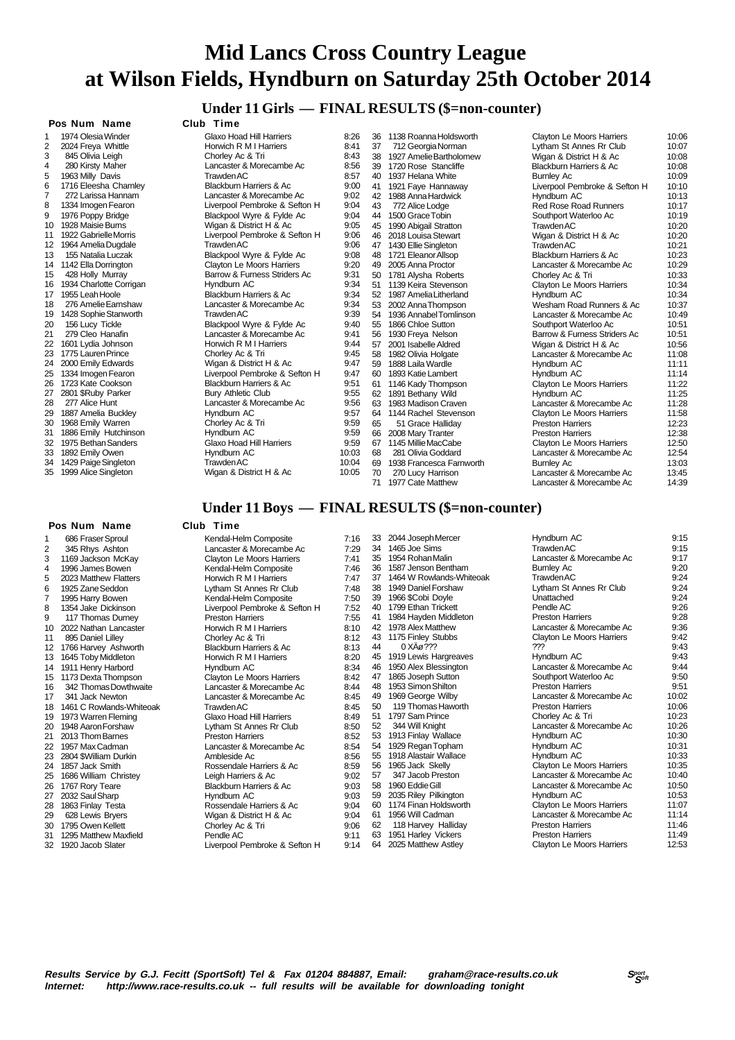### **Under 11 Girls — FINAL RESULTS (\$=non-counter)**

|                         | Pos Num<br>Name                     |
|-------------------------|-------------------------------------|
| 1                       | 1974 Olesia Winder                  |
| $\overline{2}$          | 2024 Freya Whittle                  |
| 3                       | 845 Olivia Leigh                    |
| $\overline{\mathbf{4}}$ | 280 Kirsty Maher                    |
| 5                       | 1963 Milly Davis                    |
| 6                       | 1716 Eleesha Charnley               |
| 7                       | 272 Larissa Hannam                  |
| 8                       | 1334 Imogen Fearon                  |
| 9                       | 1976 Poppy Bridge                   |
| 10                      | 1928 Maisie Burns                   |
| 11                      | 1922 Gabrielle Morris               |
| 12                      | 1964 Amelia Dugdale                 |
| 13                      | 155 Natalia Luczak                  |
| 14                      | 1142 Ella Dorrington                |
| 15                      | 428 Holly Murray                    |
| 16                      | 1934 Charlotte Corrigan             |
| 17                      | 1955 Leah Hoole                     |
| 18                      | 276 Amelie Earnshaw                 |
| 19                      | 1428 Sophie Stanworth               |
| 20                      | 156 Lucy Tickle<br>279 Cleo Hanafin |
| 21<br>22                | 1601 Lydia Johnson                  |
| 23                      | 1775 Lauren Prince                  |
| 24                      | 2000 Emily Edwards                  |
| 25                      | 1334 Imogen Fearon                  |
| 26                      | 1723 Kate Cookson                   |
| 27                      | 2801 \$Ruby Parker                  |
| 28                      | 277 Alice Hunt                      |
| 29                      | 1887 Amelia Bucklev                 |
| 30                      | 1968 Emily Warren                   |
| 31                      | 1886 Emily Hutchinson               |
| 32                      | 1975 Bethan Sanders                 |
| 33                      | 1892 Emily Owen                     |
| 34                      | 1429 Paige Singleton                |
| ~-                      | $1000 \pm 1$                        |

### **Pos Num Name Club Time**

| 1  | 686 Fraser Sproul       |
|----|-------------------------|
| 2  | 345 Rhys Ashton         |
| 3  | 1169 Jackson McKay      |
| 4  | 1996 James Bowen        |
| 5  | 2023 Matthew Flatters   |
| 6  | 1925 Zane Seddon        |
| 7  | 1995 Harry Bowen        |
| 8  | 1354 Jake Dickinson     |
| 9  | 117 Thomas Durney       |
| 10 | 2022 Nathan Lancaster   |
| 11 | 895 Daniel Lilley       |
| 12 | 1766 Harvey Ashworth    |
| 13 | 1645 Toby Middleton     |
| 14 | 1911 Henry Harbord      |
| 15 | 1173 Dexta Thompson     |
| 16 | 342 Thomas Dowthwaite   |
| 17 | 341 Jack Newton         |
| 18 | 1461 C Rowlands-Whiteoa |
| 19 | 1973 Warren Fleming     |
| 20 | 1948 Aaron Forshaw      |
| 21 | 2013 Thom Barnes        |
| 22 | 1957 Max Cadman         |
| 23 | 2804 \$William Durkin   |
| 24 | 1857 Jack Smith         |
| 25 | 1686 William Christey   |
| 26 | 1767 Rory Teare         |
| 27 | 2032 Saul Sharp         |
| 28 | 1863 Finlay Testa       |
| 29 | 628 Lewis Bryers        |
| 30 | 1795 Owen Kellett       |

- 
- 

 **Pos Num Name Club Time** 1 1974 Glaxo Hoad Hill Harriers 8:26<br>1 1974 Bonwich R.M. L. Harriers 8:41 Frequency Horwich R M I Harriers 8:41<br>
Chorley Ac & Tri 8:43 Chorley Ac & Tri Lancaster & Morecambe Ac 8:56<br>Trawden AC 8:57 5 1963 Milly Davis Trawden AC 8:57 Blackburn Harriers & Ac 9:00 Lancaster & Morecambe Ac 9:02 Expression School Pembroke & Sefton H 9:04<br>Blackpool Wyre & Fylde Ac 9:04 Blackpool Wyre & Fylde Ac 9:04<br>Wigan & District H & Ac 9:05 10 10 10 10 10 Vigan & District H & Ac 9:05<br>1006 Liverpool Pembroke & Sefton H 11 11 1920 Liverpool Pembroke & Sefton H<br>Trawden AC 9:06 Trawden AC 13 155 Natalia Luczak Blackpool Wyre & Fylde Ac 9:08 14 1142 Ella Dorrington Clayton Le Moors Harriers 9:20 15:9 Barrow & Furness Striders Ac 9:31<br>Hyndburn AC 9:34 16 19:34 Hyndburn AC<br>16 19:34 Blackburn Harriers & Ac 9:34 17 1956 Blackburn Harriers & Ac 9:34<br>17 19:34 Lancaster & Morecambe Ac 9:34 Lancaster & Morecambe Ac 19 1428 Sophie Stanworth Trawden AC 9:39 20 156 Lucy Tickle Blackpool Wyre & Fylde Ac 9:40 21 279 Cleo Hanafin Lancaster & Morecambe Ac 9:41 22 1601 1601 1601 1602<br>
244 Chorley Ac & Tri 9:45 245 Chorley Ac & Tri 9:45<br>2347 Wigan & District H & Ac 247 29:47 Wigan & District H & Ac 9:47<br>247 Liverpool Pembroke & Sefton H 2.25 13 Liverpool Pembroke & Sefton H 9:47<br>Rlackburn Harriers & Ac 9:51 251 Blackburn Harriers & Ac 9:51<br>Bury Athletic Club Bury Athletic Club Lancaster & Morecambe Ac 9:56<br>
Hyndburn AC 9:57 29 1887 Amelia Buckley Hyndburn AC 9:57 Chorley Ac & Tri 13959 Hyndburn AC 9:59<br>Claxo Hoad Hill Harriers 9:59 32 1975 Glaxo Hoad Hill Harriers 9:59<br>10:03 Hyndburn AC Hyndburn AC 10:04 Trawden AC 10:04<br>10:05 Wigan & District H & Ac 10:05 35 1999 Alice Singleton Wigan & District H & Ac

36 1138 Roanna Holdsworth 39 1720 Rose Stancliffe 40 1937 Helana White<br>41 1921 Eave Hannaw 1921 Faye Hannaway 42 1988 Anna Hardwick 43 772 Alice Lodge<br>44 1500 Grace Tobir 44 1500 Grace Tobin<br>45 1990 Abigail Strat 45 1990 Abigail Stratton<br>46 2018 Louisa Stewart 46 2018 Louisa Stewart<br>47 1430 Ellie Singleton 47 1430 Ellie Singleton<br>48 1721 Eleanor Allson 1721 Eleanor Allsop 49 2005 Anna Proctor<br>50 1781 Alvsha Robe 50 1781 Alysha Roberts<br>51 1139 Keira Stevensor 51 1139 Keira Stevenson<br>52 1987 Amelia Litherland 52 1987 Amelia Litherland<br>53 2002 Anna Thompson 53 2002 Anna Thompson<br>54 1936 Annabel Tomlins 1936 Annabel Tomlinson 55 1866 Chloe Sutton<br>56 1930 Freya Nelson 56 1930 Freya Nelson<br>57 2001 Isabelle Aldree 2001 Isabelle Aldred 58 1982 Olivia Holgate<br>59 1888 Laila Wardle 59 1888 Laila Wardle<br>60 1893 Katie Lambe 1893 Katie Lambert 61 1146 Kady Thompson 62 1891 Bethany Wild 63 1983 Madison Craven<br>64 1144 Rachel Stevens 64 1144 Rachel Stevenson<br>65 51 Grace Halliday 65 51 Grace Halliday<br>66 2008 Mary Tranter 66 2008 Mary Tranter<br>67 1145 Millie MacCal 1145 Millie MacCabe 68 281 Olivia Goddard<br>69 1938 Erancesca Farr 1938 Francesca Farnworth 70 270 Lucy Harrison 71 1977 Cate Matthew Lancaster & Morecambe Ac

| 36 | 1138 Roanna Holdsworth   | Clayton Le Moors Harriers        | 10:06 |
|----|--------------------------|----------------------------------|-------|
| 37 | 712 Georgia Norman       | Lytham St Annes Rr Club          | 10:07 |
| 38 | 1927 Amelie Bartholomew  | Wigan & District H & Ac          | 10:08 |
| 39 | 1720 Rose Stancliffe     | Blackburn Harriers & Ac          | 10:08 |
| 40 | 1937 Helana White        | <b>Burnley Ac</b>                | 10:09 |
| 41 | 1921 Faye Hannaway       | Liverpool Pembroke & Sefton H    | 10:10 |
| 42 | 1988 Anna Hardwick       | Hyndburn AC                      | 10:13 |
| 43 | 772 Alice Lodge          | <b>Red Rose Road Runners</b>     | 10:17 |
| 44 | 1500 Grace Tobin         | Southport Waterloo Ac            | 10:19 |
| 45 | 1990 Abigail Stratton    | <b>Trawden AC</b>                | 10:20 |
| 46 | 2018 Louisa Stewart      | Wigan & District H & Ac          | 10:20 |
| 47 | 1430 Ellie Singleton     | Trawden AC                       | 10:21 |
| 48 | 1721 Eleanor Allsop      | Blackburn Harriers & Ac          | 10:23 |
| 49 | 2005 Anna Proctor        | Lancaster & Morecambe Ac         | 10:29 |
| 50 | 1781 Alysha Roberts      | Chorley Ac & Tri                 | 10:33 |
| 51 | 1139 Keira Stevenson     | <b>Clayton Le Moors Harriers</b> | 10:34 |
| 52 | 1987 Amelia Litherland   | Hyndburn AC                      | 10:34 |
| 53 | 2002 Anna Thompson       | Wesham Road Runners & Ac         | 10:37 |
| 54 | 1936 Annabel Tomlinson   | Lancaster & Morecambe Ac         | 10:49 |
| 55 | 1866 Chloe Sutton        | Southport Waterloo Ac            | 10:51 |
| 56 | 1930 Freya Nelson        | Barrow & Furness Striders Ac     | 10:51 |
| 57 | 2001 Isabelle Aldred     | Wigan & District H & Ac          | 10:56 |
| 58 | 1982 Olivia Holgate      | Lancaster & Morecambe Ac         | 11:08 |
| 59 | 1888 Laila Wardle        | Hyndburn AC                      | 11:11 |
| 60 | 1893 Katie Lambert       | Hyndburn AC                      | 11:14 |
| 61 | 1146 Kady Thompson       | Clayton Le Moors Harriers        | 11:22 |
| 62 | 1891 Bethany Wild        | Hyndburn AC                      | 11:25 |
| 63 | 1983 Madison Craven      | Lancaster & Morecambe Ac         | 11:28 |
| 64 | 1144 Rachel Stevenson    | Clayton Le Moors Harriers        | 11:58 |
| 65 | 51 Grace Halliday        | <b>Preston Harriers</b>          | 12:23 |
| 66 | 2008 Mary Tranter        | <b>Preston Harriers</b>          | 12:38 |
| 67 | 1145 Millie MacCabe      | <b>Clayton Le Moors Harriers</b> | 12:50 |
| 68 | 281 Olivia Goddard       | Lancaster & Morecambe Ac         | 12:54 |
| 69 | 1938 Francesca Farnworth | <b>Burnley Ac</b>                | 13:03 |
| 70 | 270 Lucy Harrison        | Lancaster & Morecambe Ac         | 13:45 |
|    | $74.4077$ Cata Matthews  | Longarias Q Massannha An         | 1.00  |

### **Under 11 Boys — FINAL RESULTS (\$=non-counter)**

### 1 Kendal-Helm Composite<br>1 16 Lancaster & Morecambe Ac 7:29 2.29 Lancaster & Morecambe Ac 7:29<br>Clavton Le Moors Harriers 7:41 3 1169 Jackson McKay Clayton Le Moors Harriers 7:41 4 1996 Kendal-Helm Composite<br>Horwich R M I Harriers 7:47 5 2:47 Horwich R M I Harriers 7:47<br>1.48 Lytham St Annes Rr Club Lytham St Annes Rr Club 7:48<br>Kendal-Helm Composite 7:50 **Kendal-Helm Composite** 7:50<br>1 iverpool Pembroke & Sefton H 7:52 Liverpool Pembroke & Sefton H 7:52<br>Preston Harriers 7:55 Preston Harriers 7:55<br>
Horwich R M I Harriers 8:10 10 Horwich R M I Harriers 8:10<br>Chorley Ac & Tri 8:12 Chorley Ac & Tri 12 12 1766 Blackburn Harriers & Ac 8:13<br>12 12 12 12 12 12 12 13 14 15 16 17 18:20 13 16 Horwich R M I Harriers 8:20<br>13 13 13 13 14 15 15 16 17 18:34 Hyndburn AC 15 12 Clayton Le Moors Harriers<br>15.44 Lancaster & Morecambe Acc 16 344<br>
Lancaster & Morecambe Ac 8:45<br>
8:45 17 17 17 17 17 17 17 17 17 17 17 18:45<br>17 3:45 17 17 17 17 17 17 17 17 18:45 18 1461 C Rowlands-Whiteoak Trawden AC 8:45 19 1973 Warren Fleming Glaxo Hoad Hill Harriers 8:49 Lytham St Annes Rr Club 8:50 Preston Harriers 8:52<br>
Lancaster & Morecambe Ac 8:54 22 1967 March 2012<br>
Lancaster & Morecambe Ac 8:54<br>
Ambleside Ac 8:56 256 Ambleside Ac 8:56<br>259 Rossendale Harriers & Ac 8:59 Prossendale Harriers & Ac 8:59<br>
Leigh Harriers & Ac 8:02 25 1686 Marriers Andrew Leigh Harriers & Ac 9:02<br>Blackburn Harriers & Ac 9:03 Blackburn Harriers & Ac 12.03<br>2003 Rossendale Harriers & Ac 9:04 2.33<br>Rossendale Harriers & Ac 9:04<br>Wigan & District H & Ac 9:04 Wigan & District H & Ac 20 1795 Chorley Ac & Tri 9:06<br>Pendle AC 9:11 31 1295 Matthew Maxfield Pendle AC 9:11<br>32 1920 Jacob Slater Liverpool Pembroke & Sefton H 9:14 33 2044 Joseph Mercer Hyndburn AC 9:15 34 1465 Joe Sims Trawden AC 9:15 Lancaster & Morecambe Ac 36 1587 Jenson Bentham Burnley Ac 9:20 37 1464 W Rowlands-Whiteoak Trawden AC 9:24 Lytham St Annes Rr Club 39 1966 \$Cobi Doyle Unattached 9:24 40 1799 Ethan Trickett Pendle AC 9:26 41 1984 Hayden Middleton Preston Harriers 9:28<br>42 1978 Alex Matthew Lancaster & Morecambe Ac 9:36 42 1978 Alex Matthew Lancaster & Morecambe Ac 9:36 43 1175 Finley Stubbs Clayton Le Moors Harriers 9:42<br>44 0  $\chi$ A $\alpha$  222 9:43  $0$  XÄø??? 45 1919 Lewis Hargreaves Hyndburn AC 9:43 46 1950 Alex Blessington Lancaster & Morecambe Ac 9:44 47 1865 Joseph Sutton Southport Waterloo Ac 9:50<br>48 1953 Simon Shilton Preston Harriers 9:51 48 1953 Simon Shilton **Preston Harriers** 9:51 9:51<br>49 1969 George Wilby **Preston Harriers Advised Access** 10:02 49 1969 George Wilby Lancaster & Morecambe Ac 10:02 50 119 Thomas Haworth<br>51 1797 Sam Prince 51 1797 Sam Prince Chorley Ac & Tri 10:23<br>52 344 Will Knight Chorles Lancaster & Morecambe Ac 10:26 52 344 Will Knight Lancaster & Morecambe Ac 10:26 53 1913 Finlay Wallace 10:30 Hyndburn AC 10:30 Hyndburn AC 10:31<br>1929 Regan Topham 10:31 Hyndburn AC 54 1929 Regan Topham Hyndburn AC 10:31 55 1918 Alastair Wallace **Hyndburn AC 10:33**<br>56 1965 Jack Skelly **Clayton Le Moors Harriers** 10:35 56 1965 Jack Skelly Clayton Le Moors Harriers 10:35 Lancaster & Morecambe Ac 58 1960 Eddie Gill Lancaster & Morecambe Ac 10:50 59 2035 Riley Pilkington **10:53**<br>53.1174 Finan Holdsworth **Hyndburn AC 10:53**<br>511:07 Clavton Le Moors Harriers 60 1174 Finan Holdsworth Clayton Le Moors Harriers 11:07 61 1956 Will Cadman Lancaster & Morecambe Ac 11:14 118 Harvey Halliday **Preston Harriers** 11:46<br>1951 Harley Vickers **11:49** Preston Harriers 11:49 63 1951 Harley Vickers **Canadia Harley Harley Vickers** 11:49<br>64 2025 Matthew Astley **Preston Le Moors Harriers** 12:53

Liverpool Pembroke & Sefton H

Clayton Le Moors Harriers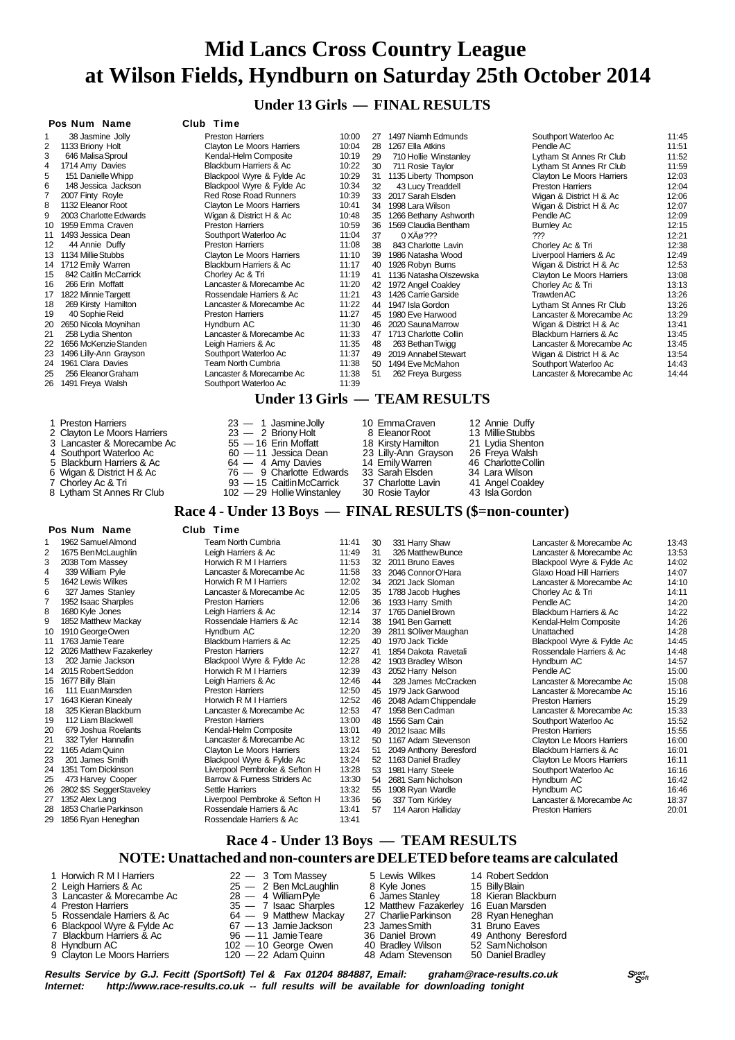**Under 13 Girls — FINAL RESULTS**

### **Pos Num Name Club Time**

| 1  | 38 Jasmine Jolly       |
|----|------------------------|
| 2  | 1133 Briony Holt       |
| 3  | 646 Malisa Sproul      |
| 4  | 1714 Amy Davies        |
| 5  | 151 Danielle Whipp     |
| 6  | 148 Jessica Jackson    |
| 7  | 2007 Finty Royle       |
| 8  | 1132 Eleanor Root      |
| 9  | 2003 Charlotte Edwards |
| 10 | 1959 Emma Craven       |
| 11 | 1493 Jessica Dean      |
| 12 | 44 Annie Duffy         |
| 13 | 1134 Millie Stubbs     |
| 14 | 1712 Emily Warren      |
| 15 | 842 Caitlin McCarrick  |
| 16 | 266 Erin Moffatt       |
| 17 | 1822 Minnie Targett    |
| 18 | 269 Kirsty Hamilton    |
| 19 | 40 Sophie Reid         |
| 20 | 2650 Nicola Moynihan   |
| 21 | 258 Lydia Shenton      |
| 22 | 1656 McKenzie Standen  |
| 23 | 1496 Lilly-Ann Grayson |
| 24 | 1961 Clara Davies      |
| 25 | 256 Eleanor Graham     |
| 26 | 1491 Freya Walsh       |

- 1 Preston Harriers 2 Clayton Le Moors Harriers
- 3 Lancaster & Morecambe Ac
- 4 Southport Waterloo Ac
- 5 Blackburn Harriers & Ac
- 6 Wigan & District H & Ac
- 7 Chorley Ac & Tri
- 

Preston Harriers 10:00<br>Clavton Le Moors Harriers 10:04 2 Clayton Le Moors Harriers 10:04<br>
Kendal-Helm Composite 10:19 Stayton Lo moste Fighting Blackburn Harriers & Ac 10:22<br>Blackbool Wyre & Fylde Ac 10:29 Blackpool Wyre & Fylde Ac 10:29<br>Blackpool Wyre & Fylde Ac 10:34 Blackpool Wyre & Fylde Ac Red Rose Road Runners 10:39<br>Clavton Le Moors Harriers 10:41 Clayton Le Moors Harriers 10:41<br>Wigan & District H & Ac 10:48 Wigan & District H & Ac 10:48<br>Preston Harriers 10:59 Preston Harriers 10:59<br>Southport Waterloo Ac 11:04 Southport Waterloo Ac 11:04<br>Preston Harriers 11:08 Preston Harriers

Lancaster & Morecambe Ac

Clayton Le Moors Harriers 11:10<br>Blackburn Harriers & Ac 11:17 Blackburn Harriers & Ac 11:17<br>Chorley Ac & Tri 11:19 Chorley Ac & Tri 11:19<br>
Lancaster & Morecambe Ac 11:20 Lancaster & Morecambe Ac 11:20<br>Rossendale Harriers & Ac 11:21 Rossendale Harriers & Ac 11:21<br>Lancaster & Morecambe Ac 11:22 Preston Harriers 11:27 11:30 Hyndburn AC 11:30<br>
Lancaster & Morecambe Ac 11:33 Lancaster & Morecambe Ac 11:33<br>
Leigh Harriers & Ac 11:35 22 Leigh Harriers & Ac 11:35<br>
Southport Waterloo Ac 11:37 23 Southport Waterloo Ac 11:37<br>
Team North Cumbria 11:38 Team North Cumbria 11:38<br>
Lancaster & Morecambe Ac 11:38 Lancaster & Morecambe Ac 11:38<br>
Southport Waterloo Ac 11:39 28 1267 Ella Atkins<br>29 710 Hollie Win: 29 710 Hollie Winstanley<br>30 711 Rosie Taylor 711 Rosie Taylor 31 1135 Liberty Thompson<br>32 43 Lucy Treaddell 43 Lucy Treaddell 33 2017 Sarah Elsden 34 1998 Lara Wilson<br>35 1266 Bethany Ash 1266 Bethany Ashworth 36 1569 Claudia Bentham<br>37 0 XA $\varnothing$ ??? 37 0 XÄø ???<br>38 843 Charlotte 843 Charlotte Lavin 39 1986 Natasha Wood 40 1926 Robyn Burns 41 1136 Natasha Olszewska 42 1972 Angel Coakley 43 1426 Carrie Garside 44 1947 Isla Gordon 45 1980 Eve Harwood 48 263 Bethan Twigg 49 2019 Annabel Stewart<br>50 1494 Eve McMahon 50 1494 Eve McMahon<br>51 262 Freya Burgess 262 Freya Burgess

| 27 | 1497 Niamh Edmunds     | Southport Waterloo Ac     | 11:45 |
|----|------------------------|---------------------------|-------|
| 28 | 1267 Ella Atkins       | Pendle AC                 | 11:51 |
| 29 | 710 Hollie Winstanley  | Lytham St Annes Rr Club   | 11:52 |
| 30 | 711 Rosie Taylor       | Lytham St Annes Rr Club   | 11:59 |
| 31 | 1135 Liberty Thompson  | Clayton Le Moors Harriers | 12:03 |
| 32 | 43 Lucy Treaddell      | <b>Preston Harriers</b>   | 12:04 |
| 33 | 2017 Sarah Elsden      | Wigan & District H & Ac   | 12:06 |
| 34 | 1998 Lara Wilson       | Wigan & District H & Ac   | 12:07 |
| 35 | 1266 Bethany Ashworth  | Pendle AC                 | 12:09 |
| 36 | 1569 Claudia Bentham   | <b>Burnley Ac</b>         | 12:15 |
| 37 | 0 XAø ???              | ???                       | 12:21 |
| 38 | 843 Charlotte Lavin    | Chorley Ac & Tri          | 12:38 |
| 39 | 1986 Natasha Wood      | Liverpool Harriers & Ac   | 12:49 |
| 40 | 1926 Robyn Burns       | Wigan & District H & Ac   | 12:53 |
| 41 | 1136 Natasha Olszewska | Clayton Le Moors Harriers | 13:08 |
| 42 | 1972 Angel Coakley     | Chorley Ac & Tri          | 13:13 |
| 43 | 1426 Carrie Garside    | <b>Trawden AC</b>         | 13:26 |
| 44 | 1947 Isla Gordon       | Lytham St Annes Rr Club   | 13:26 |
| 45 | 1980 Eve Harwood       | Lancaster & Morecambe Ac  | 13:29 |
| 46 | 2020 Sauna Marrow      | Wigan & District H & Ac   | 13:41 |
| 47 | 1713 Charlotte Collin  | Blackburn Harriers & Ac   | 13:45 |
| 48 | 263 Bethan Twigg       | Lancaster & Morecambe Ac  | 13:45 |
| 49 | 2019 Annabel Stewart   | Wigan & District H & Ac   | 13:54 |
| 50 | 1494 Eve McMahon       | Southport Waterloo Ac     | 14:43 |
| 51 | 262 Freya Burgess      | Lancaster & Morecambe Ac  | 14:44 |

### **Under 13 Girls — TEAM RESULTS**

| 1 Preston Harriers          | $23 - 1$ Jasmine Jolly       | 10 EmmaCraven        | 12 Annie Duffy      |
|-----------------------------|------------------------------|----------------------|---------------------|
| 2 Clayton Le Moors Harriers | $23 - 2$ Briony Holt         | 8 Eleanor Root       | 13 Millie Stubbs    |
| 3 Lancaster & Morecambe Ac  | $55 - 16$ Erin Moffatt       | 18 Kirsty Hamilton   | 21 Lydia Shenton    |
| 4 Southport Waterloo Ac     | 60 — 11 Jessica Dean         | 23 Lilly-Ann Grayson | 26 Freya Walsh      |
| 5 Blackburn Harriers & Ac   | $64 - 4$ Amy Davies          | 14 Emily Warren      | 46 Charlotte Collin |
| 6 Wigan & District H & Ac   | $76 - 9$ Charlotte Edwards   | 33 Sarah Elsden      | 34 Lara Wilson      |
| 7 Chorley Ac & Tri          | 93 - 15 Caitlin McCarrick    | 37 Charlotte Lavin   | 41 Angel Coakley    |
| 8 Lytham St Annes Rr Club   | $102 - 29$ Hollie Winstanley | 30 Rosie Taylor      | 43 Isla Gordon      |

### **Race 4 - Under 13 Boys — FINAL RESULTS (\$=non-counter)**

|    | Pos Num Name            | Club Time                     |       |    |                        |                                  |       |
|----|-------------------------|-------------------------------|-------|----|------------------------|----------------------------------|-------|
|    | 1962 Samuel Almond      | Team North Cumbria            | 11:41 | 30 | 331 Harry Shaw         | Lancaster & Morecambe Ac         | 13:43 |
| 2  | 1675 Ben McLaughlin     | Leigh Harriers & Ac           | 11:49 | 31 | 326 Matthew Bunce      | Lancaster & Morecambe Ac         | 13:53 |
| 3  | 2038 Tom Massev         | Horwich R M I Harriers        | 11:53 |    | 32 2011 Bruno Eaves    | Blackpool Wyre & Fylde Ac        | 14:02 |
| 4  | 339 William Pyle        | Lancaster & Morecambe Ac      | 11:58 | 33 | 2046 Connor O'Hara     | Glaxo Hoad Hill Harriers         | 14:07 |
| 5  | 1642 Lewis Wilkes       | Horwich R M I Harriers        | 12:02 | 34 | 2021 Jack Sloman       | Lancaster & Morecambe Ac         | 14:10 |
| 6  | 327 James Stanley       | Lancaster & Morecambe Ac      | 12:05 | 35 | 1788 Jacob Hughes      | Chorley Ac & Tri                 | 14:11 |
|    | 1952 Isaac Sharples     | <b>Preston Harriers</b>       | 12:06 | 36 | 1933 Harry Smith       | Pendle AC                        | 14:20 |
| 8  | 1680 Kyle Jones         | Leigh Harriers & Ac           | 12:14 | 37 | 1765 Daniel Brown      | Blackburn Harriers & Ac          | 14:22 |
| 9  | 1852 Matthew Mackay     | Rossendale Harriers & Ac      | 12:14 | 38 | 1941 Ben Garnett       | Kendal-Helm Composite            | 14:26 |
| 10 | 1910 George Owen        | Hyndburn AC                   | 12:20 | 39 | 2811 \$Oliver Maughan  | Unattached                       | 14:28 |
| 11 | 1763 Jamie Teare        | Blackburn Harriers & Ac       | 12:25 | 40 | 1970 Jack Tickle       | Blackpool Wyre & Fylde Ac        | 14:45 |
| 12 | 2026 Matthew Fazakerlev | <b>Preston Harriers</b>       | 12:27 | 41 | 1854 Dakota Ravetali   | Rossendale Harriers & Ac         | 14:48 |
| 13 | 202 Jamie Jackson       | Blackpool Wyre & Fylde Ac     | 12:28 | 42 | 1903 Bradley Wilson    | Hyndburn AC                      | 14:57 |
| 14 | 2015 Robert Seddon      | Horwich R M I Harriers        | 12:39 | 43 | 2052 Harry Nelson      | Pendle AC                        | 15:00 |
| 15 | 1677 Billy Blain        | Leigh Harriers & Ac           | 12:46 | 44 | 328 James McCracken    | Lancaster & Morecambe Ac         | 15:08 |
| 16 | 111 Euan Marsden        | <b>Preston Harriers</b>       | 12:50 | 45 | 1979 Jack Garwood      | Lancaster & Morecambe Ac         | 15:16 |
| 17 | 1643 Kieran Kinealv     | Horwich R M I Harriers        | 12:52 | 46 | 2048 Adam Chippendale  | <b>Preston Harriers</b>          | 15:29 |
| 18 | 325 Kieran Blackburn    | Lancaster & Morecambe Ac      | 12:53 | 47 | 1958 Ben Cadman        | Lancaster & Morecambe Ac         | 15:33 |
| 19 | 112 Liam Blackwell      | <b>Preston Harriers</b>       | 13:00 | 48 | 1556 Sam Cain          | Southport Waterloo Ac            | 15:52 |
| 20 | 679 Joshua Roelants     | Kendal-Helm Composite         | 13:01 | 49 | 2012 Isaac Mills       | <b>Preston Harriers</b>          | 15:55 |
| 21 | 332 Tyler Hannafin      | Lancaster & Morecambe Ac      | 13:12 | 50 | 1167 Adam Stevenson    | <b>Clayton Le Moors Harriers</b> | 16:00 |
| 22 | 1165 Adam Quinn         | Clayton Le Moors Harriers     | 13:24 | 51 | 2049 Anthony Beresford | Blackburn Harriers & Ac          | 16:01 |
| 23 | 201 James Smith         | Blackpool Wyre & Fylde Ac     | 13:24 | 52 | 1163 Daniel Bradley    | Clayton Le Moors Harriers        | 16:11 |
| 24 | 1351 Tom Dickinson      | Liverpool Pembroke & Sefton H | 13:28 | 53 | 1981 Harry Steele      | Southport Waterloo Ac            | 16:16 |
| 25 | 473 Harvey Cooper       | Barrow & Furness Striders Ac  | 13:30 | 54 | 2681 Sam Nicholson     | Hyndburn AC                      | 16:42 |
| 26 | 2802 \$S SeggerStaveley | Settle Harriers               | 13:32 | 55 | 1908 Ryan Wardle       | Hyndburn AC                      | 16:46 |
| 27 | 1352 Alex Lang          | Liverpool Pembroke & Sefton H | 13:36 | 56 | 337 Tom Kirklev        | Lancaster & Morecambe Ac         | 18:37 |
| 28 | 1853 Charlie Parkinson  | Rossendale Harriers & Ac      | 13:41 | 57 | 114 Aaron Halliday     | <b>Preston Harriers</b>          | 20:01 |
| 29 | 1856 Ryan Heneghan      | Rossendale Harriers & Ac      | 13:41 |    |                        |                                  |       |
|    |                         |                               |       |    |                        |                                  |       |

### **Race 4 - Under 13 Boys — TEAM RESULTS NOTE: Unattached and non-counters are DELETED before teams are calculated**

| 2 Leigh Harriers & Ac<br>4 Preston Harriers<br>8 Hyndburn AC | 1 Horwich R M I Harriers<br>3 Lancaster & Morecambe Ac<br>5 Rossendale Harriers & Ac<br>6 Blackpool Wyre & Fylde Ac<br>7 Blackburn Harriers & Ac | $22 - 3$ Tom Massev<br>$25 - 2$ Ben McLaughlin<br>$28 - 4$ William Pyle<br>$35 - 7$ Isaac Sharples<br>64 - 9 Matthew Mackay<br>67 — 13 Jamie Jackson<br>96 — 11 JamieTeare | 5 Lewis Wilkes<br>8 Kvle Jones<br>6 James Stanley<br>12 Matthew Fazakerley 16 Euan Marsden<br>27 Charlie Parkinson<br>23 James Smith<br>36 Daniel Brown<br>40 Bradley Wilson | 14 Robert Seddon<br>15 Billy Blain<br>18 Kieran Blackburn<br>28 Ryan Heneghan<br>31 Bruno Eaves<br>49 Anthony Beresford<br>52 Sam Nicholson |
|--------------------------------------------------------------|--------------------------------------------------------------------------------------------------------------------------------------------------|----------------------------------------------------------------------------------------------------------------------------------------------------------------------------|------------------------------------------------------------------------------------------------------------------------------------------------------------------------------|---------------------------------------------------------------------------------------------------------------------------------------------|
|                                                              | 9 Clayton Le Moors Harriers                                                                                                                      | $102 - 10$ George Owen<br>$120 - 22$ Adam Quinn                                                                                                                            | 48 Adam Stevenson                                                                                                                                                            | 50 Daniel Bradley                                                                                                                           |

**Results Service by G.J. Fecitt (SportSoft) Tel & Fax 01204 884887, Email: graham@race-results.co.uk Sport as Sport<br>Internet: http://www.race-results.co.uk -- full results will be available for downloading tonight** http://www.race-results.co.uk -- full results will be available for downloading tonight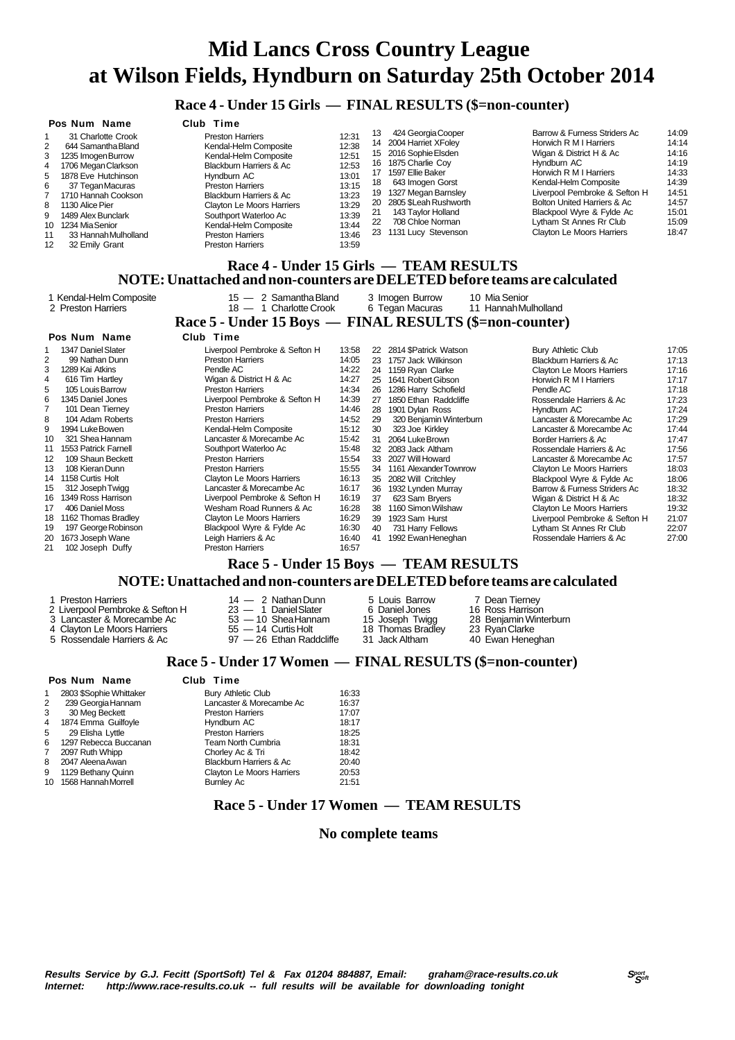### **Race 4 - Under 15 Girls — FINAL RESULTS (\$=non-counter)**

|                       | Pos Num Name                                                                                                        | Club Time                 |       |    |                       |                                        |       |  |  |  |
|-----------------------|---------------------------------------------------------------------------------------------------------------------|---------------------------|-------|----|-----------------------|----------------------------------------|-------|--|--|--|
|                       | 31 Charlotte Crook                                                                                                  | <b>Preston Harriers</b>   | 12:31 | 13 | 424 Georgia Cooper    | Barrow & Furness Striders Ac           | 14:09 |  |  |  |
| $\mathbf{2}^{\prime}$ | 644 Samantha Bland                                                                                                  | Kendal-Helm Composite     | 12:38 | 14 | 2004 Harriet XFoley   | Horwich R M I Harriers                 | 14:14 |  |  |  |
| 3                     | 1235 Imogen Burrow                                                                                                  | Kendal-Helm Composite     | 12:51 | 15 | 2016 Sophie Elsden    | Wigan & District H & Ac                | 14:16 |  |  |  |
| 4                     | 1706 Megan Clarkson                                                                                                 | Blackburn Harriers & Ac   | 12:53 | 16 | 1875 Charlie Coy      | Hyndburn AC                            | 14:19 |  |  |  |
|                       | 5 1878 Eve Hutchinson                                                                                               | Hyndburn AC               | 13:01 | 17 | 1597 Ellie Baker      | Horwich R M I Harriers                 | 14:33 |  |  |  |
| 6                     | 37 Tegan Macuras                                                                                                    | <b>Preston Harriers</b>   | 13:15 | 18 | 643 Imogen Gorst      | Kendal-Helm Composite                  | 14:39 |  |  |  |
|                       | 1710 Hannah Cookson                                                                                                 | Blackburn Harriers & Ac   | 13:23 | 19 | 1327 Megan Barnsley   | Liverpool Pembroke & Sefton H          | 14:51 |  |  |  |
|                       | 8 1130 Alice Pier                                                                                                   | Clayton Le Moors Harriers | 13:29 | 20 | 2805 \$Leah Rushworth | <b>Bolton United Harriers &amp; Ac</b> | 14:57 |  |  |  |
| 9                     | 1489 Alex Bunclark                                                                                                  | Southport Waterloo Ac     | 13:39 | 21 | 143 Taylor Holland    | Blackpool Wyre & Fylde Ac              | 15:01 |  |  |  |
|                       | 10 1234 Mia Senior                                                                                                  | Kendal-Helm Composite     | 13:44 | 22 | 708 Chloe Norman      | Lytham St Annes Rr Club                | 15:09 |  |  |  |
| 11                    | 33 Hannah Mulholland                                                                                                | <b>Preston Harriers</b>   | 13:46 | 23 | 1131 Lucy Stevenson   | <b>Clayton Le Moors Harriers</b>       | 18:47 |  |  |  |
| 12                    | 32 Emily Grant                                                                                                      | <b>Preston Harriers</b>   | 13:59 |    |                       |                                        |       |  |  |  |
|                       |                                                                                                                     |                           |       |    |                       |                                        |       |  |  |  |
|                       | Race 4 - Under 15 Girls — TEAM RESULTS<br>NOTE: Unattached and non-counters are DELETED before teams are calculated |                           |       |    |                       |                                        |       |  |  |  |

|    | 1 Kendal-Helm Composite<br>2 Preston Harriers | $15 - 2$ Samantha Bland<br>18 - 1 Charlotte Crook       |       |    | 3 Imogen Burrow<br>6 Tegan Macuras | 10 Mia Senior<br>11 Hannah Mulholland |                               |       |
|----|-----------------------------------------------|---------------------------------------------------------|-------|----|------------------------------------|---------------------------------------|-------------------------------|-------|
|    |                                               | Race 5 - Under 15 Boys — FINAL RESULTS (\$=non-counter) |       |    |                                    |                                       |                               |       |
|    | Pos Num Name                                  | Club Time                                               |       |    |                                    |                                       |                               |       |
|    | 1347 Daniel Slater                            | Liverpool Pembroke & Sefton H                           | 13:58 |    | 22 2814 \$Patrick Watson           | Bury Athletic Club                    |                               | 17:05 |
| 2  | 99 Nathan Dunn                                | <b>Preston Harriers</b>                                 | 14:05 | 23 | 1757 Jack Wilkinson                | Blackburn Harriers & Ac               |                               | 17:13 |
| 3  | 1289 Kai Atkins                               | Pendle AC                                               | 14:22 | 24 | 1159 Ryan Clarke                   | Clayton Le Moors Harriers             |                               | 17:16 |
| 4  | 616 Tim Hartley                               | Wigan & District H & Ac                                 | 14:27 | 25 | 1641 Robert Gibson                 | Horwich R M I Harriers                |                               | 17:17 |
| 5  | 105 Louis Barrow                              | <b>Preston Harriers</b>                                 | 14:34 | 26 | 1286 Harry Schofield               | Pendle AC                             |                               | 17:18 |
| 6  | 1345 Daniel Jones                             | Liverpool Pembroke & Sefton H                           | 14:39 | 27 | 1850 Ethan Raddcliffe              | Rossendale Harriers & Ac              |                               | 17:23 |
|    | 101 Dean Tierney                              | <b>Preston Harriers</b>                                 | 14:46 | 28 | 1901 Dylan Ross                    | Hyndburn AC                           |                               | 17:24 |
| 8  | 104 Adam Roberts                              | <b>Preston Harriers</b>                                 | 14:52 | 29 | 320 Benjamin Winterburn            | Lancaster & Morecambe Ac              |                               | 17:29 |
| 9  | 1994 Luke Bowen                               | Kendal-Helm Composite                                   | 15:12 | 30 | 323 Joe Kirkley                    | Lancaster & Morecambe Ac              |                               | 17:44 |
| 10 | 321 Shea Hannam                               | Lancaster & Morecambe Ac                                | 15:42 | 31 | 2064 Luke Brown                    | Border Harriers & Ac                  |                               | 17:47 |
| 11 | 1553 Patrick Farnell                          | Southport Waterloo Ac                                   | 15:48 | 32 | 2083 Jack Altham                   | Rossendale Harriers & Ac              |                               | 17:56 |
| 12 | 109 Shaun Beckett                             | <b>Preston Harriers</b>                                 | 15:54 | 33 | 2027 Will Howard                   | Lancaster & Morecambe Ac              |                               | 17:57 |
| 13 | 108 Kieran Dunn                               | <b>Preston Harriers</b>                                 | 15:55 |    | 34 1161 Alexander Townrow          | Clayton Le Moors Harriers             |                               | 18:03 |
| 14 | 1158 Curtis Holt                              | Clayton Le Moors Harriers                               | 16:13 | 35 | 2082 Will Critchley                | Blackpool Wyre & Fylde Ac             |                               | 18:06 |
| 15 | 312 Joseph Twigg                              | Lancaster & Morecambe Ac                                | 16:17 | 36 | 1932 Lynden Murray                 | Barrow & Furness Striders Ac          |                               | 18:32 |
| 16 | 1349 Ross Harrison                            | Liverpool Pembroke & Sefton H                           | 16:19 | 37 | 623 Sam Bryers                     | Wigan & District H & Ac               |                               | 18:32 |
| 17 | 406 Daniel Moss                               | Wesham Road Runners & Ac                                | 16:28 | 38 | 1160 Simon Wilshaw                 | Clayton Le Moors Harriers             |                               | 19:32 |
| 18 | 1162 Thomas Bradley                           | Clayton Le Moors Harriers                               | 16:29 | 39 | 1923 Sam Hurst                     |                                       | Liverpool Pembroke & Sefton H | 21:07 |
| 19 | 197 George Robinson                           | Blackpool Wyre & Fylde Ac                               | 16:30 | 40 | 731 Harry Fellows                  | Lytham St Annes Rr Club               |                               | 22:07 |
| 20 | 1673 Joseph Wane                              | Leigh Harriers & Ac                                     | 16:40 | 41 | 1992 Ewan Heneghan                 | Rossendale Harriers & Ac              |                               | 27:00 |
| 21 | 102 Joseph Duffy                              | <b>Preston Harriers</b>                                 | 16:57 |    |                                    |                                       |                               |       |
|    |                                               | Race 5 - Under 15 Boys — TEAM RESULTS                   |       |    |                                    |                                       |                               |       |

## **NOTE: Unattached and non-counters are DELETED before teams are calculated**

|                                 |                          |                   | TW FL). OnatiaChCu anu non-counters are DEEEFFED betore teams are calcule |
|---------------------------------|--------------------------|-------------------|---------------------------------------------------------------------------|
| 1 Preston Harriers              | $14 - 2$ Nathan Dunn     | 5 Louis Barrow    | 7 Dean Tierney                                                            |
| 2 Liverpool Pembroke & Sefton H | $23 - 1$ Daniel Slater   | 6 Daniel Jones    | 16 Ross Harrison                                                          |
| 3 Lancaster & Morecambe Ac      | $53 - 10$ Shea Hannam    | 15 Joseph Twigg   | 28 Benjamin Winterburn                                                    |
| 4 Clayton Le Moors Harriers     | $55 - 14$ Curtis Holt    | 18 Thomas Bradley | 23 Ryan Clarke                                                            |
| 5 Rossendale Harriers & Ac      | 97 - 26 Ethan Raddcliffe | 31 Jack Altham    | 40 Ewan Heneghan                                                          |

### **Race 5 - Under 17 Women — FINAL RESULTS (\$=non-counter)**

|                | Pos Num Name            | Club Time                 |       |
|----------------|-------------------------|---------------------------|-------|
| $\mathbf{1}$   | 2803 \$Sophie Whittaker | <b>Bury Athletic Club</b> | 16:33 |
| 2              | 239 Georgia Hannam      | Lancaster & Morecambe Ac  | 16:37 |
| 3              | 30 Meg Beckett          | <b>Preston Harriers</b>   | 17:07 |
| $\overline{4}$ | 1874 Emma Guilfoyle     | Hyndburn AC               | 18:17 |
| 5              | 29 Elisha Lyttle        | <b>Preston Harriers</b>   | 18:25 |
| 6              | 1297 Rebecca Buccanan   | <b>Team North Cumbria</b> | 18:31 |
| 7              | 2097 Ruth Whipp         | Chorley Ac & Tri          | 18:42 |
| 8              | 2047 Aleena Awan        | Blackburn Harriers & Ac   | 20:40 |
| 9              | 1129 Bethany Quinn      | Clayton Le Moors Harriers | 20:53 |
| 10             | 1568 Hannah Morrell     | <b>Bumley Ac</b>          | 21:51 |
|                |                         |                           |       |

### **Race 5 - Under 17 Women — TEAM RESULTS**

### **No complete teams**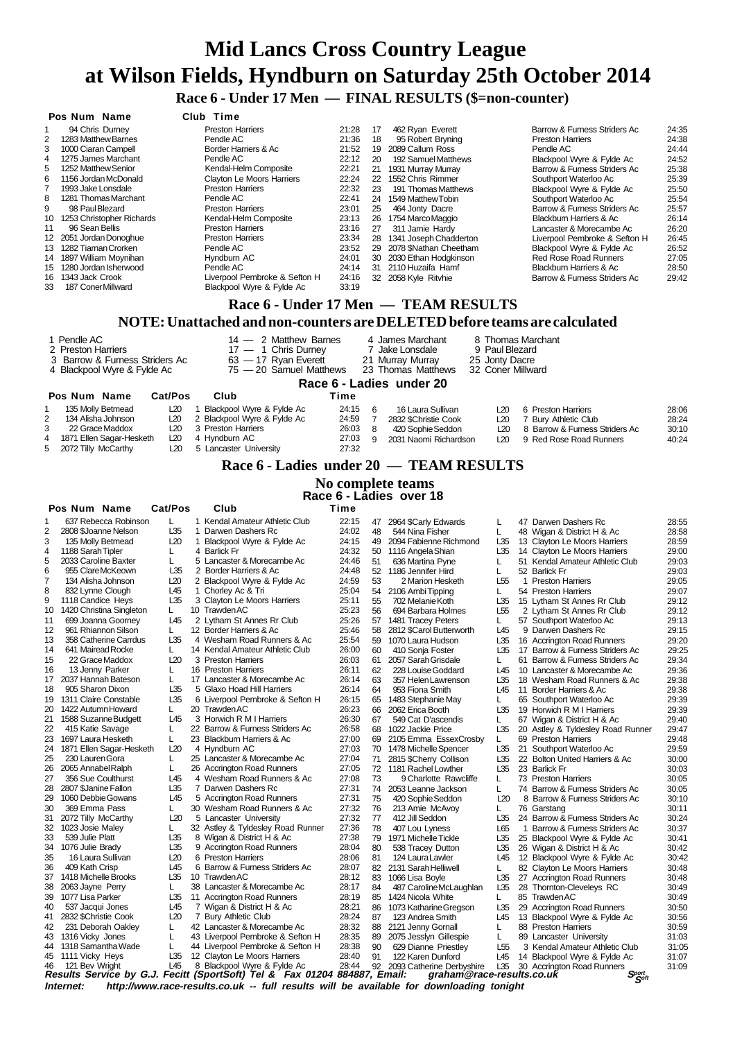**Race 6 - Under 17 Men — FINAL RESULTS (\$=non-counter)**

|                                                                           | Pos Num Name                                                                                      | Club Time                     |       |    |                                    |                               |       |  |  |  |  |  |
|---------------------------------------------------------------------------|---------------------------------------------------------------------------------------------------|-------------------------------|-------|----|------------------------------------|-------------------------------|-------|--|--|--|--|--|
|                                                                           | 94 Chris Durney                                                                                   | <b>Preston Harriers</b>       | 21:28 | 17 | 462 Ryan Everett                   | Barrow & Furness Striders Ac  | 24:35 |  |  |  |  |  |
| 2                                                                         | 1283 Matthew Barnes                                                                               | Pendle AC                     | 21:36 | 18 | 95 Robert Bryning                  | <b>Preston Harriers</b>       | 24:38 |  |  |  |  |  |
| 3                                                                         | 1000 Ciaran Campell                                                                               | Border Harriers & Ac          | 21:52 | 19 | 2089 Callum Ross                   | Pendle AC                     | 24:44 |  |  |  |  |  |
| 4                                                                         | 1275 James Marchant                                                                               | Pendle AC                     | 22:12 | 20 | 192 Samuel Matthews                | Blackpool Wyre & Fylde Ac     | 24:52 |  |  |  |  |  |
| 5                                                                         | 1252 Matthew Senior                                                                               | Kendal-Helm Composite         | 22:21 | 21 | 1931 Murray Murray                 | Barrow & Furness Striders Ac  | 25:38 |  |  |  |  |  |
| 6                                                                         | 1156 Jordan McDonald                                                                              | Clayton Le Moors Harriers     | 22:24 | 22 | 1552 Chris Rimmer                  | Southport Waterloo Ac         | 25:39 |  |  |  |  |  |
|                                                                           | 1993 Jake Lonsdale                                                                                | <b>Preston Harriers</b>       | 22:32 | 23 | 191 Thomas Matthews                | Blackpool Wyre & Fylde Ac     | 25:50 |  |  |  |  |  |
| 8                                                                         | 1281 Thomas Marchant                                                                              | Pendle AC                     | 22:41 | 24 | 1549 Matthew Tobin                 | Southport Waterloo Ac         | 25:54 |  |  |  |  |  |
| 9                                                                         | 98 PaulBlezard                                                                                    | <b>Preston Harriers</b>       | 23:01 | 25 | 464 Jonty Dacre                    | Barrow & Furness Striders Ac  | 25:57 |  |  |  |  |  |
| 10                                                                        | 1253 Christopher Richards                                                                         | Kendal-Helm Composite         | 23:13 | 26 | 1754 Marco Maggio                  | Blackburn Harriers & Ac       | 26:14 |  |  |  |  |  |
| 11                                                                        | 96 Sean Bellis                                                                                    | <b>Preston Harriers</b>       | 23:16 | 27 | 311 Jamie Hardy                    | Lancaster & Morecambe Ac      | 26:20 |  |  |  |  |  |
| $12 \overline{ }$                                                         | 2051 Jordan Donoghue                                                                              | <b>Preston Harriers</b>       | 23:34 | 28 | 1341 Joseph Chadderton             | Liverpool Pembroke & Sefton H | 26:45 |  |  |  |  |  |
| 13                                                                        | 1282 Tiarnan Crorken                                                                              | Pendle AC                     | 23:52 | 29 | 2078 \$Nathan Cheetham             | Blackpool Wyre & Fylde Ac     | 26:52 |  |  |  |  |  |
| 14                                                                        | 1897 William Moynihan                                                                             | Hyndburn AC                   | 24:01 | 30 | 2030 Ethan Hodgkinson              | <b>Red Rose Road Runners</b>  | 27:05 |  |  |  |  |  |
| 15                                                                        | 1280 Jordan Isherwood                                                                             | Pendle AC                     | 24:14 | 31 | 2110 Huzaifa Hamf                  | Blackburn Harriers & Ac       | 28:50 |  |  |  |  |  |
| 16                                                                        | 1343 Jack Crook                                                                                   | Liverpool Pembroke & Sefton H | 24:16 |    | 32 2058 Kyle Ritvhie               | Barrow & Furness Striders Ac  | 29:42 |  |  |  |  |  |
| 33                                                                        | 187 Coner Millward                                                                                | Blackpool Wyre & Fylde Ac     | 33:19 |    |                                    |                               |       |  |  |  |  |  |
|                                                                           | Race 6 - Under 17 Men — TEAM RESULTS                                                              |                               |       |    |                                    |                               |       |  |  |  |  |  |
| NOTE: Unattached and non-counters are DELETED before teams are calculated |                                                                                                   |                               |       |    |                                    |                               |       |  |  |  |  |  |
|                                                                           | 1 Pendle AC                                                                                       | $14 - 2$ Matthew Barnes       |       |    | 4 James Marchant                   | 8 Thomas Marchant             |       |  |  |  |  |  |
|                                                                           | 2 Preston Harriers                                                                                | 17 - 1 Chris Durney           |       |    | 9 Paul Blezard<br>7 Jake Lonsdale  |                               |       |  |  |  |  |  |
|                                                                           | 3 Barrow & Furness Striders Ac                                                                    | 63 - 17 Ryan Everett          |       |    | 21 Murray Murray<br>25 Jonty Dacre |                               |       |  |  |  |  |  |
|                                                                           | 75 - 20 Samuel Matthews<br>4 Blackpool Wyre & Fylde Ac<br>23 Thomas Matthews<br>32 Coner Millward |                               |       |    |                                    |                               |       |  |  |  |  |  |

|   | Race 6 - Ladies under 20   |         |                             |       |   |                       |       |                                |       |  |  |
|---|----------------------------|---------|-----------------------------|-------|---|-----------------------|-------|--------------------------------|-------|--|--|
|   | Pos Num Name               | Cat/Pos | Club                        | Time  |   |                       |       |                                |       |  |  |
|   | 135 Molly Betmead          | L20     | Blackpool Wyre & Fylde Ac   | 24:15 |   | 16 Laura Sullivan     | I 20  | 6 Preston Harriers             | 28:06 |  |  |
| 2 | 134 Alisha Johnson         | L20     | 2 Blackpool Wyre & Fylde Ac | 24:59 |   | 2832 \$Christie Cook  | L20   | 7 Bury Athletic Club           | 28:24 |  |  |
| 3 | 22 Grace Maddox            | L20     | 3 Preston Harriers          | 26:03 |   | 420 Sophie Seddon     | I 20  | 8 Barrow & Furness Striders Ac | 30:10 |  |  |
|   | 4 1871 Ellen Sagar-Hesketh | L20     | 4 Hyndburn AC               | 27:03 | a | 2031 Naomi Richardson | I 20. | 9 Red Rose Road Runners        | 40:24 |  |  |
|   | 5 2072 Tilly McCarthy      | L20     | 5 Lancaster University      | 27:32 |   |                       |       |                                |       |  |  |

### **Race 6 - Ladies under 20 — TEAM RESULTS**

### **No complete teams**

 **Race 6 - Ladies over 18**

|                | Pos Num Name             | Cat/Pos |   | Club                                                                                                     | Time  |    |                                                           |                 |              |                                 |       |
|----------------|--------------------------|---------|---|----------------------------------------------------------------------------------------------------------|-------|----|-----------------------------------------------------------|-----------------|--------------|---------------------------------|-------|
| 1              | 637 Rebecca Robinson     | L.      |   | 1 Kendal Amateur Athletic Club                                                                           | 22:15 | 47 | 2964 \$Carly Edwards                                      | L               |              | 47 Darwen Dashers Rc            | 28:55 |
| 2              | 2808 \$Joanne Nelson     | L35     | 1 | Darwen Dashers Rc                                                                                        | 24:02 | 48 | 544 Nina Fisher                                           | L               |              | 48 Wigan & District H & Ac      | 28:58 |
| 3              | 135 Molly Betmead        | L20     | 1 | Blackpool Wyre & Fylde Ac                                                                                | 24:15 | 49 | 2094 Fabienne Richmond                                    | L35             |              | 13 Clayton Le Moors Harriers    | 28:59 |
| $\overline{4}$ | 1188 Sarah Tipler        | L       |   | 4 Barlick Fr                                                                                             | 24:32 | 50 | 1116 Angela Shian                                         | L35             |              | 14 Clayton Le Moors Harriers    | 29:00 |
| 5              | 2033 Caroline Baxter     | L       |   | 5 Lancaster & Morecambe Ac                                                                               | 24:46 | 51 | 636 Martina Pyne                                          | L               |              | 51 Kendal Amateur Athletic Club | 29:03 |
| 6              | 955 Clare McKeown        | L35     |   | 2 Border Harriers & Ac                                                                                   | 24:48 | 52 | 1186 Jennifer Hird                                        | L               |              | 52 Barlick Fr                   | 29:03 |
| $\overline{7}$ | 134 Alisha Johnson       | L20     |   | 2 Blackpool Wyre & Fylde Ac                                                                              | 24:59 | 53 | 2 Marion Hesketh                                          | L <sub>55</sub> | $\mathbf{1}$ | <b>Preston Harriers</b>         | 29:05 |
| 8              | 832 Lynne Clough         | L45     |   | 1 Chorley Ac & Tri                                                                                       | 25:04 | 54 | 2106 Ambi Tipping                                         | L               |              | 54 Preston Harriers             | 29:07 |
| 9              | 1118 Candice Heys        | L35     |   | 3 Clayton Le Moors Harriers                                                                              | 25:11 | 55 | 702 Melanie Koth                                          | L35             |              | 15 Lytham St Annes Rr Club      | 29:12 |
| 10             | 1420 Christina Singleton | L.      |   | 10 Trawden AC                                                                                            | 25:23 | 56 | 694 Barbara Holmes                                        | L <sub>55</sub> |              | 2 Lytham St Annes Rr Club       | 29:12 |
| 11             | 699 Joanna Goorney       | L45     |   | 2 Lytham St Annes Rr Club                                                                                | 25:26 | 57 | 1481 Tracey Peters                                        | L               |              | 57 Southport Waterloo Ac        | 29:13 |
| 12             | 961 Rhiannon Silson      | L       |   | 12 Border Harriers & Ac                                                                                  | 25:46 | 58 | 2812 \$Carol Butterworth                                  | L45             |              | 9 Darwen Dashers Rc             | 29:15 |
| 13             | 358 Catherine Carrdus    | L35     |   | 4 Wesham Road Runners & Ac                                                                               | 25:54 | 59 | 1070 Laura Hudson                                         | L35             |              | 16 Accrington Road Runners      | 29:20 |
| 14             | 641 Mairead Rocke        | L       |   | 14 Kendal Amateur Athletic Club                                                                          | 26:00 | 60 | 410 Sonja Foster                                          | L35             |              | 17 Barrow & Furness Striders Ac | 29:25 |
| 15             | 22 Grace Maddox          | L20     |   | 3 Preston Harriers                                                                                       | 26:03 | 61 | 2057 Sarah Grisdale                                       | L               |              | 61 Barrow & Furness Striders Ac | 29:34 |
| 16             | 13 Jenny Parker          | L       |   | 16 Preston Harriers                                                                                      | 26:11 | 62 | 228 Louise Goddard                                        | L45             |              | 10 Lancaster & Morecambe Ac     | 29:36 |
| 17             | 2037 Hannah Bateson      | Г       |   | 17 Lancaster & Morecambe Ac                                                                              | 26:14 | 63 | 357 Helen Lawrenson                                       | L35             |              | 18 Wesham Road Runners & Ac     | 29:38 |
| 18             | 905 Sharon Dixon         | L35     |   | 5 Glaxo Hoad Hill Harriers                                                                               | 26:14 | 64 | 953 Fiona Smith                                           | L45             |              | 11 Border Harriers & Ac         | 29:38 |
| 19             | 1311 Claire Constable    | L35     |   | 6 Liverpool Pembroke & Sefton H                                                                          | 26:15 | 65 | 1483 Stephanie May                                        | L               |              | 65 Southport Waterloo Ac        | 29:39 |
| 20             | 1422 Autumn Howard       | L       |   | 20 Trawden AC                                                                                            | 26:23 | 66 | 2062 Erica Booth                                          | L35             |              | 19 Horwich R M I Harriers       | 29:39 |
| 21             | 1588 Suzanne Budgett     | L45     |   | 3 Horwich R M I Harriers                                                                                 | 26:30 | 67 | 549 Cat D'ascendis                                        | L               |              | 67 Wigan & District H & Ac      | 29:40 |
| 22             | 415 Katie Savage         | L       |   | 22 Barrow & Furness Striders Ac                                                                          | 26:58 | 68 | 1022 Jackie Price                                         | L35             | 20           | Astley & Tyldesley Road Runner  | 29:47 |
| 23             | 1697 Laura Hesketh       | L       |   | 23 Blackburn Harriers & Ac                                                                               | 27:00 | 69 | 2105 Emma EssexCrosby                                     | L               |              | 69 Preston Harriers             | 29:48 |
| 24             | 1871 Ellen Sagar-Hesketh | L20     |   | 4 Hyndburn AC                                                                                            | 27:03 | 70 | 1478 Michelle Spencer                                     | L35             |              | 21 Southport Waterloo Ac        | 29:59 |
| 25             | 230 Lauren Gora          | L       |   | 25 Lancaster & Morecambe Ac                                                                              | 27:04 | 71 | 2815 \$Cherry Collison                                    | L35             |              | 22 Bolton United Harriers & Ac  | 30:00 |
| 26             | 2065 Annabel Ralph       | L       |   | 26 Accrington Road Runners                                                                               | 27:05 |    | 72 1181 Rachel Lowther                                    | L35             |              | 23 Barlick Fr                   | 30:03 |
| 27             | 356 Sue Coulthurst       | L45     |   | 4 Wesham Road Runners & Ac                                                                               | 27:08 | 73 | 9 Charlotte Rawcliffe                                     | L               |              | 73 Preston Harriers             | 30:05 |
| 28             | 2807 \$Janine Fallon     | L35     |   | 7 Darwen Dashers Rc                                                                                      | 27:31 | 74 | 2053 Leanne Jackson                                       | L               |              | 74 Barrow & Furness Striders Ac | 30:05 |
| 29             | 1060 Debbie Gowans       | L45     |   | 5 Accrington Road Runners                                                                                | 27:31 | 75 | 420 Sophie Seddon                                         | L20             | 8            | Barrow & Furness Striders Ac    | 30:10 |
| 30             | 369 Emma Pass            | L       |   | 30 Wesham Road Runners & Ac                                                                              | 27:32 | 76 | 213 Amie McAvoy                                           | L               |              | 76 Garstang                     | 30:11 |
| 31             | 2072 Tilly McCarthy      | L20     |   | 5 Lancaster University                                                                                   | 27:32 | 77 | 412 Jill Seddon                                           | L35             |              | 24 Barrow & Furness Striders Ac | 30:24 |
| 32             | 1023 Josie Maley         | L.      |   | 32 Astley & Tyldesley Road Runner                                                                        | 27:36 | 78 | 407 Lou Lyness                                            | L65             | 1            | Barrow & Furness Striders Ac    | 30:37 |
| 33             | 539 Julie Platt          | L35     |   | 8 Wigan & District H & Ac                                                                                | 27:38 | 79 | 1971 Michelle Tickle                                      | L35             |              | 25 Blackpool Wyre & Fylde Ac    | 30:41 |
| 34             | 1076 Julie Brady         | L35     |   | 9 Accrington Road Runners                                                                                | 28:04 | 80 | 538 Tracey Dutton                                         | L35             |              | 26 Wigan & District H & Ac      | 30:42 |
| 35             | 16 Laura Sullivan        | L20     |   | 6 Preston Harriers                                                                                       | 28:06 | 81 | 124 Laura Lawler                                          | L45             |              | 12 Blackpool Wyre & Fylde Ac    | 30:42 |
| 36             | 409 Kath Crisp           | L45     |   | 6 Barrow & Furness Striders Ac                                                                           | 28:07 | 82 | 2131 Sarah Helliwell                                      | L               |              | 82 Clayton Le Moors Harriers    | 30:48 |
| 37             | 1418 Michelle Brooks     | L35     |   | 10 Trawden AC                                                                                            | 28:12 | 83 | 1066 Lisa Boyle                                           | L35             |              | 27 Accrington Road Runners      | 30:48 |
| 38             | 2063 Jayne Perry         | L       |   | 38 Lancaster & Morecambe Ac                                                                              | 28:17 | 84 | 487 Caroline McLaughlan                                   | L35             |              | 28 Thornton-Cleveleys RC        | 30:49 |
| 39             | 1077 Lisa Parker         | L35     |   | 11 Accrington Road Runners                                                                               | 28:19 | 85 | 1424 Nicola White                                         | L.              |              | 85 Trawden AC                   | 30:49 |
| 40             | 537 Jacqui Jones         | L45     |   | 7 Wigan & District H & Ac                                                                                | 28:21 | 86 | 1073 Katharine Gregson                                    | L35             |              | 29 Accrington Road Runners      | 30:50 |
| 41             | 2832 \$Christie Cook     | L20     |   | 7 Bury Athletic Club                                                                                     | 28:24 | 87 | 123 Andrea Smith                                          | L45             |              | 13 Blackpool Wyre & Fylde Ac    | 30:56 |
| 42             | 231 Deborah Oakley       | L       |   | 42 Lancaster & Morecambe Ac                                                                              | 28:32 | 88 | 2121 Jenny Gornall                                        | L               |              | 88 Preston Harriers             | 30:59 |
| 43             | 1316 Vicky Jones         | L       |   | 43 Liverpool Pembroke & Sefton H                                                                         | 28:35 | 89 | 2075 Jesslyn Gillespie                                    | L               |              | 89 Lancaster University         | 31:03 |
| 44             | 1318 Samantha Wade       | L       |   | 44 Liverpool Pembroke & Sefton H                                                                         | 28:38 | 90 | 629 Dianne Priestley                                      | L <sub>55</sub> |              | 3 Kendal Amateur Athletic Club  | 31:05 |
|                | 45 1111 Vicky Heys       | L35     |   | 12 Clayton Le Moors Harriers                                                                             | 28:40 | 91 | 122 Karen Dunford                                         | L45             |              | 14 Blackpool Wyre & Fylde Ac    | 31:07 |
| 46             | 121 Bev Wright           | L45     |   | 8 Blackpool Wyre & Fylde Ac<br>Results Service by G.J. Fecitt (SportSoft) Tel & Fax 01204 884887, Email: | 28:44 |    | 92 2093 Catherine Derbyshire<br>graham@race-results.co.uk | L35             |              | 30 Accrington Road Runners      | 31:09 |
|                |                          |         |   |                                                                                                          |       |    |                                                           |                 |              | Sport<br>Sport                  |       |
|                | Internet:                |         |   | http://www.race-results.co.uk -- full results will be available for downloading tonight                  |       |    |                                                           |                 |              |                                 |       |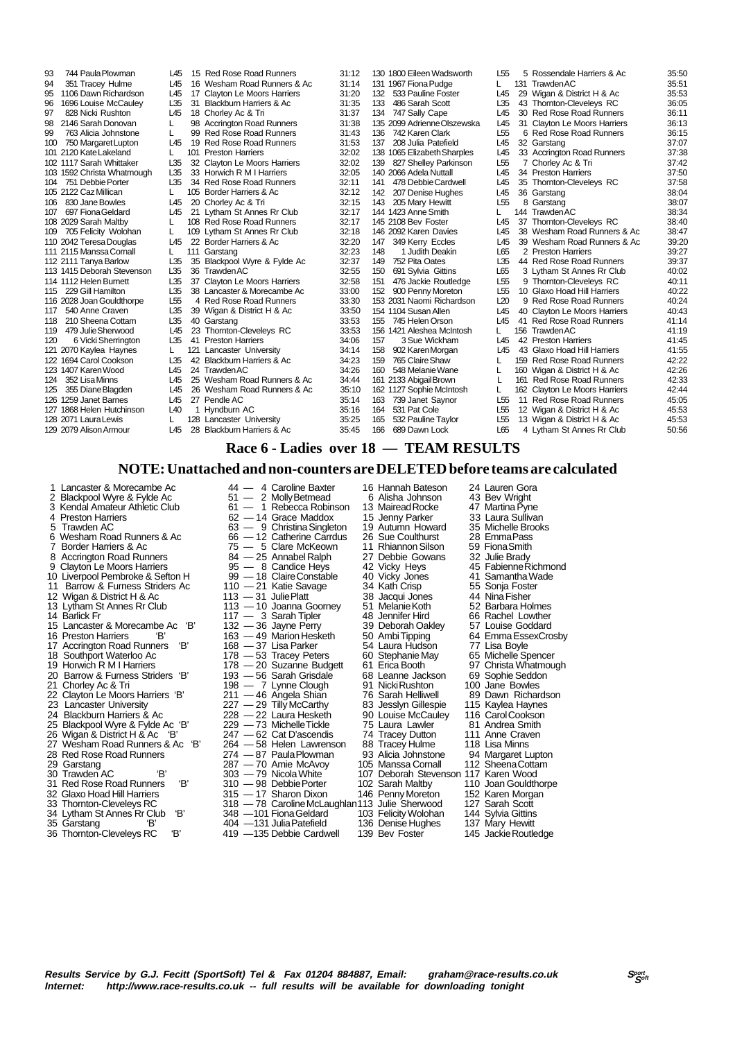828 Nicki Rushton L45 18 Chorley Ac & Tri<br>2146 Sarah Donovan L. 88 Accripaton Road 111 2115 Manssa Cornall L<br>112 2111 Tanya Barlow L35 123 1407 Karen Wood

93 744 Paula Plowman L45 15 Red Rose Road Runners 31:12<br>94 351 Tracey Hulme L45 16 Wesham Road Runners & Ac 31:14 94 351 Tracey Hulme L45 16 Wesham Road Runners & Ac 31:14 95 1106 Dawn Richardson L45 17 Clayton Le Moors Harriers 31:20 96 1696 Louise McCauley L35 31 Blackburn Harriers & Ac 31:35 98 2146 Sarah Donovan L 98 Accrington Road Runners 31:38 99 763 Alicia Johnstone L 99 Red Rose Road Runners 31:43<br>100 750 Margaret Lupton L45 19 Red Rose Road Runners 31:53 10 Red Rose Road Runners 31:53<br>101 Preston Harriers 32:02 101 2120 Kate Lakeland L 101 Preston Harriers 32:02 135 32 Clayton Le Moors Harriers 32:02<br>135 33 Horwich R M I Harriers 32:05 103 1592 Christa Whatmough L35 33 Horwich R M I Harriers 32:05 104 751 Debbie Porter L35 34 Red Rose Road Runners<br>105 2122 Caz Millican Luis 105 Border Harriers & Ac 105 2122 Caz Millican L 105 Border Harriers & Ac 32:12 106 830 Jane Bowles L45 20 Chorley Ac & Tri 32:15 107 697 Fiona Geldard L45 21 Lytham St Annes Rr Club 32:17 108 2029 Sarah Maltby L 108 Red Rose Road Runners 32:17<br>109 705 Felicity Wolohan L 109 Lytham St Annes Rr Club 32:18 109 705 Felicity Wolohan L 109 Lytham St Annes Rr Club 32:18 110 2042 Teresa Douglas L45 22 Border Harriers & Ac 32:20 112 2111 Tanya Barlow L35 35 Blackpool Wyre & Fylde Ac 32:37 113 1415 Deborah Stevenson L35 36 Trawden AC 32:55<br>114 1112 Helen Burnett L35 37 Clayton Le Moors Harriers 32:58 114 1112 Helen Burnett L35 37 Clayton Le Moors Harriers 32:58<br>115 229 Gill Hamilton L35 38 Lancaster & Morecambe Ac 33:00 115 229 Gill Hamilton L35 38 Lancaster & Morecambe Ac 33:00<br>116 2028 Joan Gouldthorne L55 4 Red Rose Road Runners 33:30 116 2028 Joan Gouldthorpe L55 4 Red Rose Road Runners 33:30 39 Wigan & District H & Ac 118 210 Sheena Cottam L35 40 Garstang 33:53 119 479 Julie Sherwood L45 23 Thornton-Cleveleys RC 33:53 120 6 Vicki Sherrington L35 41 Preston Harriers (34:06 34:06 121 2070 Kaylea Haynes L<br>121 2070 Kaylea Haynes L 121 Lancaster University (34:14 121 2070 Kaylea Haynes L 121 Lancaster University 34:14<br>122 1694 Carol Cookson L35 42 Blackburn Harriers & Ac 34:23 125 42 Blackburn Harriers & Ac 34:23<br>145 24 Trawden AC 34:26 124 352 Lisa Minns L45 25 Wesham Road Runners & Ac 34:44 125 26 Wesham Road Runners & Ac 35:10<br>125 27 Pendle AC 35:14 126 1259 Janet Barnes L45 27 Pendle AC 35:14 127 1868 Helen Hutchinson L40 1 Hyndburn AC 35:16 128 2071 Laura Lewis L 128 Lancaster University 35:25 28 Blackburn Harriers & Ac 130 1800 Eileen Wadsworth L55 5 Rossendale Harriers & Ac 35:50 131 1967 Fiona Pudge L 131 Trawden AC 25.51 35.51<br>132 533 Pauline Foster L45 29 Wigan & District H & Ac 35:53 132 533 Pauline Foster L45 29 Wigan & District H & Ac 35:53 133 486 Sarah Scott L35 43 Thornton-Cleveleys RC 36:05 134 747 Sally Cape L45 30 Red Rose Road Runners 36:11 135 2099 Adrienne Olszewska L45 31 Clayton Le Moors Harriers 36:13 136 742 Karen Clark L55 6 Red Rose Road Runners 36:15 208 Julia Patefield 145 32 Garstang 1065 Julia Patefield 1965 2014 37:07<br>1965 Elizabeth Sharples 145 33 Accrington Road Runners 37:38 138 1065 Elizabeth Sharples L45 33 Accrington Road Runners 37:38 139 827 Shelley Parkinson L55 7 Chorley Ac & Tri 37:42 140 2066 Adela Nuttall L45 34 Preston Harriers 37:50 Thornton-Cleveleys RC 142 207 Denise Hughes L45 36 Garstang 38:04 143 205 Mary Hewitt L55 8 Garstang 143 205 Mary Hewitt L55 8 Garstang 38:07<br>144 1423 Anne Smith L 144 Trawden AC 38:34 144 1423 Anne Smith Later 144 Trawden AC 38:34<br>145 2108 Bev Foster 145 37 Thomton-Cleveleys RC 38:40 145 2108 Bev Foster L45 37 Thornton-Cleveleys RC<br>145 2092 Karen Davies L45 38 Wesham Road Runners 146 2092 Karen Davies L45 38 Wesham Road Runners & Ac 38:47 147 349 Kerry Eccles L45 39 Wesham Road Runners & Ac 39:20 1 Judith Deakin L65 2 Preston Harriers<br>752 Pita Oates 1.35 44 Red Rose Road 149 752 Pita Oates L35 44 Red Rose Road Runners 39:37 150 691 Sylvia Gittins L65 3 Lytham St Annes Rr Club 40:02 151 476 Jackie Routledge L55 9 Thomton-Cleveleys RC 40:11<br>152 900 Penny Moreton L55 10 Glaxo Hoad Hill Harriers 40:22 152 900 Penny Moreton L55 10 Glaxo Hoad Hill Harriers 40:22<br>153 2001 Naomi Richardson L20 9 Red Rose Road Runners 40:24 153 2031 Naomi Richardson L20 9 Red Rose Road Runners 40:24 40 Clayton Le Moors Harriers 155 745 Helen Orson L45 41 Red Rose Road Runners 41:14 156 1421 Aleshea McIntosh L 156 Traviden AC 41:19<br>156 1421 Aleshea McIntosh L 156 Trawden AC 41:19<br>157 3 Sue Wickham L45 42 Preston Harriers 41:45 157 3 Sue Wickham 145 42 Preston Harriers 11:45 41:45<br>158 902 Karen Morgan 145 43 Glaxo Hoad Hill Harriers 41:55 158 902 Karen Morgan L45 43 Glaxo Hoad Hill Harriers 41:55 159 765 Claire Shaw L 159 Red Rose Road Runners 42:22<br>160 548 Melanie Wane L 160 Wigan & District H & Ac 42:26 160 Wigan & District H & Ac 161 2133 Abigail Brown L 161 Red Rose Road Runners 42:33<br>162 1127 Sophie McIntosh L 162 Clayton Le Moors Harriers 42:44 162 1127 Sophie McIntosh L 162 Clayton Le Moors Harriers 42:44 163 739 Janet Saynor L55 11 Red Rose Road Runners 163<br>163 739 Janet Saynor L55 11 Red Rose Road Runners 45:05<br>164 531 Pat Cole L55 12 Wigan & District H & Ac 45:53 164 531 Pat Cole 1655 12 Wigan & District H & Ac 45:53<br>165 532 Pauline Taylor 155 13 Wigan & District H & Ac 45:53 165 532 Pauline Taylor L55 13 Wigan & District H & Ac 45:53 4 Lytham St Annes Rr Club  **Race 6 - Ladies over 18 — TEAM RESULTS**

### **NOTE: Unattached and non-counters are DELETED before teams are calculated**

 1 Lancaster & Morecambe Ac 44 — 4 Caroline Baxter 16 Hannah Bateson 24 Lauren Gora 2 Blackpool Wyre & Fylde Ac 51 — 2 Molly Betmead 6 Alisha Johnson 43 Bev Wright<br>
Kendal Amateur Athletic Club 61 — 1 Rebecca Robinson 13 Mairead Rocke 47 Martina Pyne<br>
Preston Harriers 62 — 14 Grace Maddox 15 Jenny Parker 3 Kendal Amateur Athletic Club 61 - 1 Rebecca Robinson 13 Mairead Rock<br>4 Preston Harriers 62 - 14 Grace Maddox 15 Jenny Parker 4 Preston Harriers **62 — 14 Grace Maddox** 15 Jenny Parker 33 Laura Sullivan 5 Trawden AC 63 — 9 Christina Singleton 19 Autumn Howard 35 Michelle Brooks 5 Trawden AC 63 — 9 Christina Singleton 19 Autumn Howard 35 Michelle Brooks 19 Autumn Howard 35 Michelle Brook<br>63 — 9 Christina Singleton 19 Autumn Howard 35 Michelle Brooks 66 — 12 Catherine Carrdus 26 Sue Coulthurst 28 E 6 Wesham Road Runners & Ac 66 — 12 Catherine Carrdus 26 Sue Coulthurst 28 Emma Pass 7 Border Harriers & Ac 75 — 5 Clare McKeown 11 Rhiannon Silson 59 Fiona Smith 8 Accrington Road Runners 84 — 25 Annabel Ralph 27 Debbie Gowans 32 Julie Brady 9 Clayton Le Moors Harriers 29 - 8 Candice Heys<br>42 Olayton Le Moors Harriers 42 99 - 48 Claire Constable 10 Liverpool Pembroke & Sefton H 99 — 18 Claire Constable 40 Vicky Jones 41 Samantha Wa<br>11 Barrow & Furness Striders Ac 110 — 21 Katie Savage 34 Kath Crisp 55 Sonja Foster 110 — 21 Katie Savage 34 Kath Crisp 55 Sonja Foster Migan & District H & Ac 110 — 21 Katie Savage 34 Kath Crisp 55 Sonja Foster<br>
113 — 31 Julie Platt 38 Jacqui Jones 44 Nina Fisher 12 Wigan & District H & Ac 113 — 31 Julie Platt 38 Jacqui Jones 44 Nina Fisher<br>13 Lytham St Annes Rr Club 113 — 10 Joanna Goorney 51 Melanie Koth 52 Barbara Holmes 13 Lytham St Annes Rr Club 113 — 10 Joanna Goorney 51 Melanie Koth 52 Barbara Holmes 15 Lancaster & Morecambe Ac 'B' 132 — 36 Jayne Perry 39 Deborah Oakley 57 Louise Goddard 16 Preston Harriers 'B' 163 — 49 Marion Hesketh 50 Ambi Tipping 64 Emma EssexCrosby 17 Accrington Road Runners 'B' 168 — 37 Lisa Parker 54 Laura Hudson 77 Lisa Boyle<br>18 Southport Waterloo Ac 178 — 53 Tracey Peters 60 Stephanie May 65 Michelle Spencer<br>19 Horwich R.M.I Harriers 178 — 20 Suzanne Budgett 61 E 18 Southport Waterloo Ac 178 — 53 Tracey Peters 60 Stephanie May 65 Michelle Spencer 19 Horwich R M I Harriers 178 — 20 Suzanne Budgett 61 Erica Booth 97 Christa Whatmough 178 — 20 Suzanne Budgett 61 Erica Booth 97 Christa Whatmough 20 Boothie Seddon 20 Barrow & Furness Striders 'B' 193 — 56 Sarah Grisdale 68 Leanne Jackson 69 Sophie Seddon<br>21 Chorley Ac & Tri 198 — 7 Lynne Clough 91 Nicki Rushton 100 Jane Bowles<br>22 Clayton Le Moors Harriers 'B' 211 — 46 Angela Shian 7 21 Chorley Ac & Tri **198 — 7 Lynne Clough 91 Nicki Rushton** 100 Jane Bowles 22 Clayton Le Moors Harriers 'B' 211 — 46 Angela Shian 76 Sarah Helliwell 89 Dawn Richardson 22 Clayton Le Moors Harriers 'B' <br>22 Clayton Le Moors Harriers 'B' <br>23 Lancaster University <br>24 Blackburn Harriers & Ac 228 — 22 Laura Hesketh 90 Louise McCauley 116 Carol Cookson 22 Diances the words relations of the 227 - 29 Tilly McCarthy to Sugari Heliwein 227 - 29 Tilly McCarthy 23 Jessiyn Gillespie 115 Kaylea Hayles<br>24 Blackburn Harriers & Ac 228 - 22 Laura Hesketh 90 Louise McCauley 116 Carol 25 Blackpool Wyre & Fylde Ac 'B' 229 — 73 Michelle Tickle 75 Laura Lawler 81 Andrea Smith<br>26 Wigan & District H & Ac 'B' 247 — 62 Cat D'ascendis 74 Tracey Dutton 111 Anne Craven 26 Wigan & District H & Ac 'B' 247 — 62 Cat D'ascendis 74 Tracey Dutton 111 Anne Craven 27 Wesham Road Runners & Ac 'B' 264 — 58 Helen Lawrenson 88 Tracey Hulme 118 Lisa Minns 27 Wesham Road Runners & Ac 'B' 264 - 58 Helen Lawrenson 88 Tracey Hulme 118 Lisa Minns<br>28 Red Rose Road Runners 274 - 87 Paula Plowman 93 Alicia Johnstone 94 Margaret Lupton<br>29 Garstang 287 - 70 Amie McAvoy 105 Manssa Cor 29 Garstang 287 — 70 Amie McAvoy 105 Manssa Cornall 112 Sheena Cottam 30 Trawden AC 'B' 303 — 79 Nicola White 107 Deborah Stevenson 117 Karen Wood<br>31 Red Rose Road Runners 'B' 310 — 98 Debbie Porter 102 Sarah Maltby 110 Joan Gouldthorpe 31 Red Rose Road Runners 'B' 310 — 98 Debbie Porter 102 Sarah Maltby 110 Joan Gouldthorper 102 Sarah Maltby 110 Joan Gouldthorper 102 Sarah Maltby 110 Joan Gouldthorper 102 Sarah Maltby 110 Joan Gouldthorper 110 Joan Gould 32 Glaxo Hoad Hill Harriers 315 — 17 Sharon Dixon 146 Penny Moreton 152 Karen Morgan 1315 — 17 Sharon Dixon 146 Penny Moreton 152 Karen Morgan 1318 — 17 Sharon Dixon 146 Penny Moreton 152 Karen Morgan 1318 — 17 Sharon Dixo 33 Thornton-Cleveleys RC 318 - 78 Caroline McLaughlan113 Julie Sherwood 127 Sarah Scott<br>34 Lytham St Annes Rr Club 'B' 348 - 101 Fiona Geldard 103 Felicity Wolohan 144 Sylvia Gittins

33 Sarstang<br>36 Thornton-Cleveleys RC

117 — 3 Sarah Tipler  $\begin{array}{r} 48 \text{ Jennifer Hird} \\ 132 - 36 \text{ Jayne Perry} \\ 163 - 49 \text{ Marion Hesketh} \\ 64 \text{ Emma EsescCro} \end{array}$ 34 Lytham St Annes Rr Club 'B' 348 - 101 Fiona Geldard 103 Felicity Wolohan 144 Sylvia Gittins<br>35 Garstang 'B' 404 - 131 Julia Patefield 136 Denise Hughes 137 Mary Hewitt 35 Garstang 'B' 404 —131 Julia Patefield 136 Denise Hughes 137 Mary Hewitt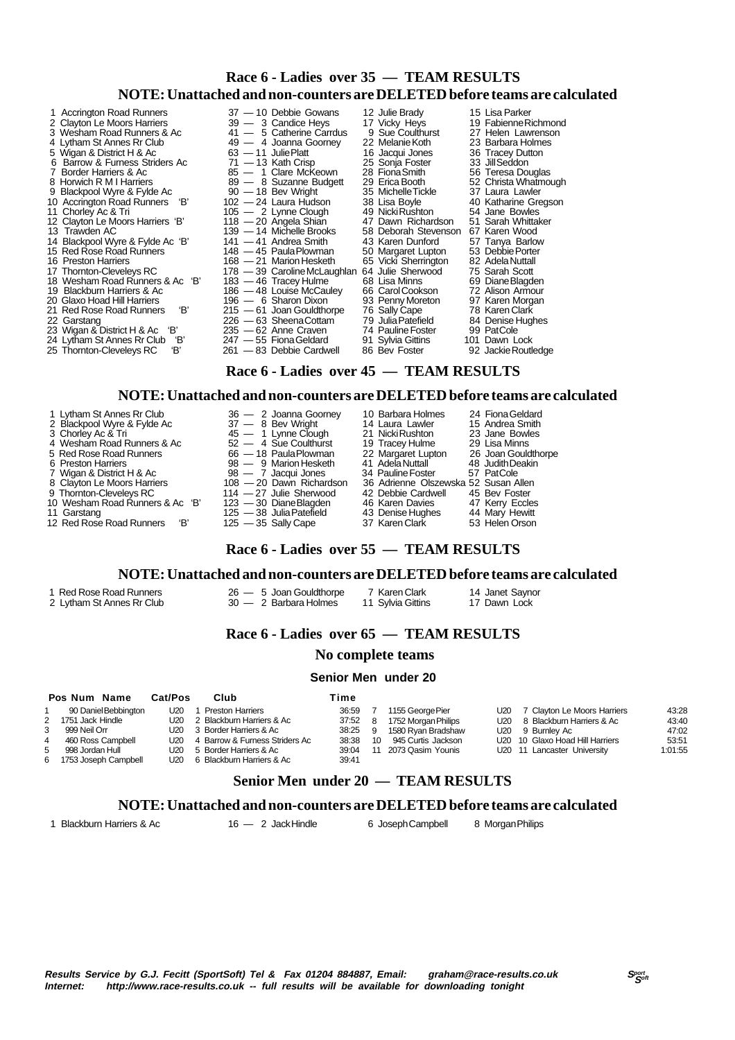## **Race 6 - Ladies over 35 — TEAM RESULTS NOTE: Unattached and non-counters are DELETED before teams are calculated**

| 1 Accrington Road Runners         | 37 - 10 Debbie Gowans                  | 12 Julie Brady       | 15 Lisa Parker       |
|-----------------------------------|----------------------------------------|----------------------|----------------------|
| 2 Clayton Le Moors Harriers       | 39 - 3 Candice Heys                    | 17 Vicky Heys        | 19 Fabienne Richmond |
| 3 Wesham Road Runners & Ac        | 41 - 5 Catherine Carrdus               | 9 Sue Coulthurst     | 27 Helen Lawrenson   |
| 4 Lytham St Annes Rr Club         | 49 - 4 Joanna Goorney                  | 22 Melanie Koth      | 23 Barbara Holmes    |
| 5 Wigan & District H & Ac         | $63 - 11$ Julie Platt                  | 16 Jacqui Jones      | 36 Tracey Dutton     |
| 6 Barrow & Furness Striders Ac    | $71 - 13$ Kath Crisp                   | 25 Sonja Foster      | 33 Jill Seddon       |
| 7 Border Harriers & Ac            | 85 - 1 Clare McKeown                   | 28 Fiona Smith       | 56 Teresa Douglas    |
| 8 Horwich R M I Harriers          | 89 - 8 Suzanne Budgett                 | 29 Erica Booth       | 52 Christa Whatmough |
| 9 Blackpool Wyre & Fylde Ac       | $90 - 18$ Bev Wright                   | 35 Michelle Tickle   | 37 Laura Lawler      |
| 10 Accrington Road Runners 'B'    | 102 - 24 Laura Hudson                  | 38 Lisa Boyle        | 40 Katharine Gregson |
| 11 Chorley Ac & Tri               | $105 - 2$ Lynne Clough                 | 49 Nicki Rushton     | 54 Jane Bowles       |
| 12 Clayton Le Moors Harriers 'B'  | $118 - 20$ Angela Shian                | 47 Dawn Richardson   | 51 Sarah Whittaker   |
| 13 Trawden AC                     | 139 - 14 Michelle Brooks               | 58 Deborah Stevenson | 67 Karen Wood        |
| 14 Blackpool Wyre & Fylde Ac 'B'  | $141 - 41$ Andrea Smith                | 43 Karen Dunford     | 57 Tanya Barlow      |
| 15 Red Rose Road Runners          | 148 - 45 Paula Plowman                 | 50 Margaret Lupton   | 53 Debbie Porter     |
| 16 Preston Harriers               | 168 - 21 Marion Hesketh                | 65 Vicki Sherrington | 82 Adela Nuttall     |
| 17 Thornton-Cleveleys RC          | 178 - 39 Caroline McLaughlan           | 64 Julie Sherwood    | 75 Sarah Scott       |
| 18 Wesham Road Runners & Ac 'B'   | 183 - 46 Tracey Hulme                  | 68 Lisa Minns        | 69 Diane Blagden     |
| 19 Blackburn Harriers & Ac        | 186 - 48 Louise McCauley               | 66 Carol Cookson     | 72 Alison Armour     |
| 20 Glaxo Hoad Hill Harriers       | 196 - 6 Sharon Dixon                   | 93 Penny Moreton     | 97 Karen Morgan      |
| 'В'<br>21 Red Rose Road Runners   | $215 - 61$ Joan Gouldthorpe            | 76 Sally Cape        | 78 Karen Clark       |
| 22 Garstang                       | 226 - 63 Sheena Cottam                 | 79 Julia Patefield   | 84 Denise Hughes     |
| 23 Wigan & District H & Ac 'B'    | $235 - 62$ Anne Craven                 | 74 Pauline Foster    | 99 PatCole           |
| 'В'<br>24 Lytham St Annes Rr Club | $247 - 55$ Fiona Geldard               | 91 Sylvia Gittins    | 101 Dawn Lock        |
| 25 Thornton-Cleveleys RC<br>'B'   | 261 - 83 Debbie Cardwell               | 86 Bev Foster        | 92 Jackie Routledge  |
|                                   |                                        |                      |                      |
|                                   | Race 6 - Ladies over 45 — TEAM RESULTS |                      |                      |

### **NOTE: Unattached and non-counters are DELETED before teams are calculated**

| 1 Lytham St Annes Rr Club<br>2 Blackpool Wyre & Fylde Ac<br>3 Chorley Ac & Tri | 36 - 2 Joanna Goorney<br>$37 - 8$ Bev Wright<br>45 - 1 Lynne Clough | 10 Barbara Holmes<br>14 Laura Lawler<br>21 Nicki Rushton | 24 Fiona Geldard<br>15 Andrea Smith<br>23 Jane Bowles |
|--------------------------------------------------------------------------------|---------------------------------------------------------------------|----------------------------------------------------------|-------------------------------------------------------|
| 4 Wesham Road Runners & Ac                                                     | $52 - 4$ Sue Coulthurst                                             | 19 Tracey Hulme                                          | 29 Lisa Minns                                         |
| 5 Red Rose Road Runners                                                        | 66 - 18 Paula Plowman                                               | 22 Margaret Lupton                                       | 26 Joan Gouldthorpe                                   |
| 6 Preston Harriers                                                             | 98 - 9 Marion Hesketh                                               | 41 Adela Nuttall                                         | 48 Judith Deakin                                      |
| 7 Wigan & District H & Ac                                                      | 98 — 7 Jacqui Jones                                                 | 34 Pauline Foster                                        | 57 PatCole                                            |
| 8 Clayton Le Moors Harriers                                                    | 108 - 20 Dawn Richardson                                            | 36 Adrienne Olszewska 52 Susan Allen                     |                                                       |
| 9 Thornton-Cleveleys RC                                                        | $114 - 27$ Julie Sherwood                                           | 42 Debbie Cardwell                                       | 45 Bev Foster                                         |
| 10 Wesham Road Runners & Ac 'B'                                                | 123 - 30 Diane Blaaden                                              | 46 Karen Davies                                          | 47 Kerry Eccles                                       |
| 11 Garstang                                                                    | 125 - 38 Julia Patefield                                            | 43 Denise Hughes                                         | 44 Mary Hewitt                                        |
| 12 Red Rose Road Runners<br>'В'                                                | $125 - 35$ Sally Cape                                               | 37 Karen Clark                                           | 53 Helen Orson                                        |

### **Race 6 - Ladies over 55 — TEAM RESULTS**

### **NOTE: Unattached and non-counters are DELETED before teams are calculated**

1 Red Rose Road Runners 26 — 5 Joan Gouldthorpe 7 Karen Clark 14 Janet Saynor

- 2 Lytham St Annes Rr Club 30 2 Barbara Holmes 11 Sylvia Gittins 17 Dawn Lock
	- **Race 6 Ladies over 65 TEAM RESULTS**

### **No complete teams**

### **Senior Men under 20**

### **Pos Num Name Cat/Pos Club Time** 1 90 Daniel Bebbington U20 1 Preston Harriers 36:59<br>2 1751 Jack Hindle U20 2 Blackburn Harriers & Ac 37:52 2 Blackburn Harriers & Ac 3 999 Neil Orr U20 3 Border Harriers & Ac 38:25 4 460 Ross Campbell U20 4 Barrow & Furness Striders Ac 38:38 5 998 Jordan Hull U20 5 Border Harriers & Ac 39:04<br>1753 Joseph Campbell U20 6 Blackburn Harriers & Ac 39:41 6 1753 Joseph Campbell U20 6 Blackburn Harriers & Ac 7 1155 George Pier U20 7 Clayton Le Moors Harriers 43:28<br>1752 Morgan Philips U20 8 Blackburn Harriers & Ac 43:40 8 1752 Morgan Philips U20 8 Blackburn Harriers & Ac 43:40<br>9 1580 Ryan Bradshaw U20 9 Burnley Ac 47:02 9 1580 Ryan Bradshaw U20 9 Burnley Ac 47:02 10 945 Curtis Jackson U20 10 Glaxo Hoad Hill Harriers 53:51<br>11 2073 Qasim Younis U20 11 Lancaster University 1:01:55 U20 11 Lancaster University

### **Senior Men under 20 — TEAM RESULTS**

### **NOTE: Unattached and non-counters are DELETED before teams are calculated**

1 Blackburn Harriers & Ac 16 — 2 Jack Hindle 6 Joseph Campbell 8 Morgan Philips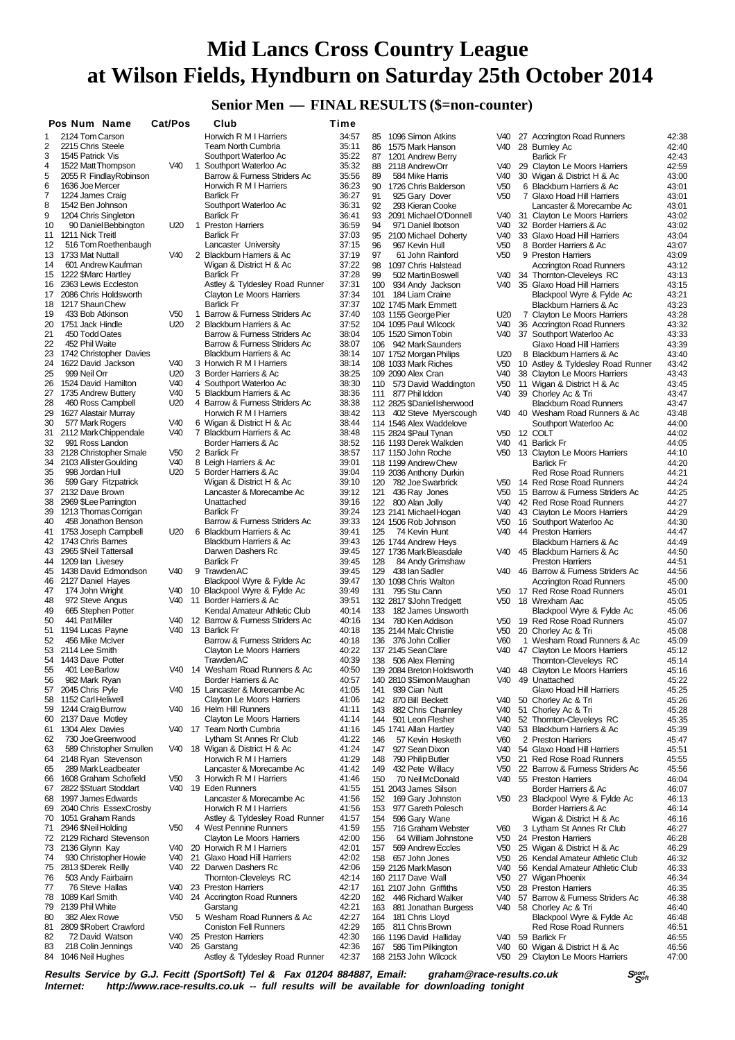## **Senior Men — FINAL RESULTS (\$=non-counter)**

|          | Pos Num Name                                  | Cat/Pos         |   | Club                                                            | Time           |            |                                                   |                                    |              |                                                               |                |
|----------|-----------------------------------------------|-----------------|---|-----------------------------------------------------------------|----------------|------------|---------------------------------------------------|------------------------------------|--------------|---------------------------------------------------------------|----------------|
| 1        | 2124 Tom Carson                               |                 |   | Horwich R M I Harriers                                          | 34:57          | 85         | 1096 Simon Atkins                                 | V40                                |              | 27 Accrington Road Runners                                    | 42:38          |
| 2        | 2215 Chris Steele                             |                 |   | <b>Team North Cumbria</b>                                       | 35:11          | 86         | 1575 Mark Hanson                                  | V40                                |              | 28 Burnley Ac                                                 | 42:40          |
| 3        | 1545 Patrick Vis                              |                 |   | Southport Waterloo Ac                                           | 35:22          | 87         | 1201 Andrew Berry                                 |                                    |              | <b>Barlick Fr</b>                                             | 42:43          |
| 4        | 1522 Matt Thompson                            | V40             | 1 | Southport Waterloo Ac                                           | 35:32          | 88         | 2118 Andrew Orr                                   | V40                                |              | 29 Clayton Le Moors Harriers                                  | 42:59          |
| 5        | 2055 R FindlayRobinson                        |                 |   | Barrow & Furness Striders Ac                                    | 35:56          | 89         | 584 Mike Harris                                   | V40                                |              | 30 Wigan & District H & Ac                                    | 43:00          |
| 6<br>7   | 1636 Joe Mercer<br>1224 James Craig           |                 |   | Horwich R M I Harriers<br><b>Barlick Fr</b>                     | 36:23<br>36:27 | 90<br>91   | 1726 Chris Balderson<br>925 Gary Dover            | V <sub>50</sub><br>V <sub>50</sub> |              | 6 Blackburn Harriers & Ac<br>7 Glaxo Hoad Hill Harriers       | 43:01<br>43:01 |
| 8        | 1542 Ben Johnson                              |                 |   | Southport Waterloo Ac                                           | 36:31          | 92         | 293 Kieran Cooke                                  |                                    |              | Lancaster & Morecambe Ac                                      | 43:01          |
| 9        | 1204 Chris Singleton                          |                 |   | <b>Barlick Fr</b>                                               | 36:41          | 93         | 2091 Michael O'Donnell                            | V40                                |              | 31 Clayton Le Moors Harriers                                  | 43:02          |
| 10       | 90 Daniel Bebbington                          | U20             |   | 1 Preston Harriers                                              | 36:59          | 94         | 971 Daniel Ibotson                                | V40                                |              | 32 Border Harriers & Ac                                       | 43:02          |
| 11       | 1211 Nick Treitl                              |                 |   | <b>Barlick Fr</b>                                               | 37:03          |            | 95 2100 Michael Doherty                           | V40                                |              | 33 Glaxo Hoad Hill Harriers                                   | 43:04          |
| 12       | 516 Tom Roethenbaugh                          |                 |   | Lancaster University                                            | 37:15          | 96         | 967 Kevin Hull                                    | V <sub>50</sub>                    |              | 8 Border Harriers & Ac                                        | 43:07          |
| 13       | 1733 Mat Nuttall                              | V40             | 2 | Blackburn Harriers & Ac                                         | 37:19          | 97         | 61 John Rainford                                  | V <sub>50</sub>                    |              | 9 Preston Harriers                                            | 43:09          |
| 14       | 601 Andrew Kaufman                            |                 |   | Wigan & District H & Ac                                         | 37:22          | 98         | 1097 Chris Halstead                               |                                    |              | <b>Accrington Road Runners</b>                                | 43:12          |
|          | 15 1222 \$Marc Hartley                        |                 |   | <b>Barlick Fr</b>                                               | 37:28          | 99         | 502 Martin Boswell                                | V40                                |              | 34 Thornton-Cleveleys RC                                      | 43:13          |
| 16<br>17 | 2363 Lewis Eccleston<br>2086 Chris Holdsworth |                 |   | Astley & Tyldesley Road Runner<br>Clayton Le Moors Harriers     | 37:31<br>37:34 |            | 100 934 Andy Jackson<br>101 184 Liam Craine       | V40                                |              | 35 Glaxo Hoad Hill Harriers                                   | 43:15<br>43:21 |
| 18       | 1217 Shaun Chew                               |                 |   | <b>Barlick Fr</b>                                               | 37:37          |            | 102 1745 Mark Emmett                              |                                    |              | Blackpool Wyre & Fylde Ac<br>Blackburn Harriers & Ac          | 43:23          |
| 19       | 433 Bob Atkinson                              | V <sub>50</sub> |   | 1 Barrow & Furness Striders Ac                                  | 37:40          |            | 103 1155 George Pier                              | U20                                |              | 7 Clayton Le Moors Harriers                                   | 43:28          |
| 20       | 1751 Jack Hindle                              | U <sub>20</sub> |   | 2 Blackburn Harriers & Ac                                       | 37:52          |            | 104 1095 Paul Wilcock                             | V40                                |              | 36 Accrington Road Runners                                    | 43:32          |
| 21       | 450 Todd Oates                                |                 |   | Barrow & Furness Striders Ac                                    | 38:04          |            | 105 1520 Simon Tobin                              | V40                                |              | 37 Southport Waterloo Ac                                      | 43:33          |
| 22       | 452 Phil Waite                                |                 |   | Barrow & Furness Striders Ac                                    | 38:07          |            | 106 942 Mark Saunders                             |                                    |              | Glaxo Hoad Hill Harriers                                      | 43:39          |
| 23       | 1742 Christopher Davies                       |                 |   | Blackburn Harriers & Ac                                         | 38:14          |            | 107 1752 Morgan Philips                           | U <sub>20</sub>                    |              | 8 Blackburn Harriers & Ac                                     | 43:40          |
| 24       | 1622 David Jackson                            | V40             |   | 3 Horwich R M I Harriers                                        | 38:14          |            | 108 1033 Mark Riches                              | V50                                |              | 10 Astley & Tyldesley Road Runner                             | 43:42          |
| 25       | 999 Neil Orr                                  | U20             |   | 3 Border Harriers & Ac                                          | 38:25          |            | 109 2090 Alex Cran                                | V40                                |              | 38 Clayton Le Moors Harriers                                  | 43:43          |
| 26       | 1524 David Hamilton                           | V40<br>V40      |   | 4 Southport Waterloo Ac<br>5 Blackburn Harriers & Ac            | 38:30          |            | 110 573 David Waddington                          | V <sub>50</sub>                    |              | 11 Wigan & District H & Ac                                    | 43:45          |
| 27<br>28 | 1735 Andrew Buttery<br>460 Ross Campbell      | U <sub>20</sub> |   | 4 Barrow & Furness Striders Ac                                  | 38:36<br>38:38 |            | 111 877 Phil Iddon<br>112 2825 \$Daniel Isherwood | V40                                |              | 39 Chorley Ac & Tri<br><b>Blackburn Road Runners</b>          | 43:47<br>43:47 |
| 29       | 1627 Alastair Murray                          |                 |   | Horwich R M I Harriers                                          | 38:42          |            | 113 402 Steve Myerscough                          | V40                                |              | 40 Wesham Road Runners & Ac                                   | 43:48          |
| 30       | 577 Mark Rogers                               | V40             |   | 6 Wigan & District H & Ac                                       | 38:44          |            | 114 1546 Alex Waddelove                           |                                    |              | Southport Waterloo Ac                                         | 44:00          |
| 31       | 2112 Mark Chippendale                         | V40             |   | 7 Blackburn Harriers & Ac                                       | 38:48          |            | 115 2824 \$Paul Tynan                             | V50                                |              | 12 COLT                                                       | 44:02          |
| 32       | 991 Ross Landon                               |                 |   | Border Harriers & Ac                                            | 38:52          |            | 116 1193 Derek Walkden                            | V40                                |              | 41 Barlick Fr                                                 | 44:05          |
| 33       | 2128 Christopher Smale                        | V <sub>50</sub> |   | 2 Barlick Fr                                                    | 38:57          |            | 117 1150 John Roche                               | V50                                |              | 13 Clayton Le Moors Harriers                                  | 44:10          |
| 34       | 2103 Allister Goulding                        | V40             |   | 8 Leigh Harriers & Ac                                           | 39:01          |            | 118 1199 Andrew Chew                              |                                    |              | <b>Barlick Fr</b>                                             | 44:20          |
| 35       | 998 Jordan Hull                               | U20             |   | 5 Border Harriers & Ac                                          | 39:04          |            | 119 2036 Anthony Durkin                           |                                    |              | <b>Red Rose Road Runners</b>                                  | 44:21          |
| 36       | 599 Gary Fitzpatrick                          |                 |   | Wigan & District H & Ac                                         | 39:10          |            | 120 782 Joe Swarbrick                             | V50                                |              | 14 Red Rose Road Runners                                      | 44:24          |
| 37       | 2132 Dave Brown                               |                 |   | Lancaster & Morecambe Ac                                        | 39:12          | 121        | 436 Ray Jones                                     | V <sub>50</sub>                    |              | 15 Barrow & Furness Striders Ac                               | 44:25          |
| 38<br>39 | 2969 \$Lee Parrington<br>1213 Thomas Corrigan |                 |   | Unattached<br><b>Barlick Fr</b>                                 | 39:16<br>39:24 |            | 122 800 Alan Jolly                                | V40<br>V40                         |              | 42 Red Rose Road Runners                                      | 44:27<br>44:29 |
| 40       | 458 Jonathon Benson                           |                 |   | Barrow & Furness Striders Ac                                    | 39:33          |            | 123 2141 Michael Hogan<br>124 1506 Rob Johnson    | V50                                |              | 43 Clayton Le Moors Harriers<br>16 Southport Waterloo Ac      | 44:30          |
| 41       | 1753 Joseph Campbell                          | U20             |   | 6 Blackburn Harriers & Ac                                       | 39:41          | 125        | 74 Kevin Hunt                                     | V40                                |              | 44 Preston Harriers                                           | 44:47          |
| 42       | 1743 Chris Barnes                             |                 |   | Blackburn Harriers & Ac                                         | 39:43          |            | 126 1744 Andrew Heys                              |                                    |              | Blackburn Harriers & Ac                                       | 44:49          |
| 43       | 2965 \$Neil Tattersall                        |                 |   | Darwen Dashers Rc                                               | 39:45          |            | 127 1736 Mark Bleasdale                           | V40                                |              | 45 Blackburn Harriers & Ac                                    | 44:50          |
| 44       | 1209 Ian Livesey                              |                 |   | <b>Barlick Fr</b>                                               | 39:45          | 128        | 84 Andy Grimshaw                                  |                                    |              | <b>Preston Harriers</b>                                       | 44:51          |
| 45       | 1438 David Edmondson                          | V40             |   | 9 Trawden AC                                                    | 39:45          |            | 129 438 Ian Sadler                                | V40                                |              | 46 Barrow & Furness Striders Ac                               | 44:56          |
| 46       | 2127 Daniel Hayes                             |                 |   | Blackpool Wyre & Fylde Ac                                       | 39:47          |            | 130 1098 Chris Walton                             |                                    |              | <b>Accrington Road Runners</b>                                | 45:00          |
| 47       | 174 John Wright                               | V40             |   | 10 Blackpool Wyre & Fylde Ac                                    | 39:49          |            | 131 795 Stu Cann                                  |                                    |              | V50 17 Red Rose Road Runners                                  | 45:01          |
| 48       | 972 Steve Angus                               | V40             |   | 11 Border Harriers & Ac                                         | 39:51          |            | 132 2817 \$John Tredgett                          | V50                                |              | 18 Wrexham Aac                                                | 45:05          |
| 49<br>50 | 665 Stephen Potter<br>441 PatMiller           | V40             |   | Kendal Amateur Athletic Club<br>12 Barrow & Furness Striders Ac | 40:14<br>40:16 | 133        | 182 James Unsworth<br>134 780 Ken Addison         |                                    |              | Blackpool Wyre & Fylde Ac<br>V50 19 Red Rose Road Runners     | 45:06<br>45:07 |
| 51       | 1194 Lucas Payne                              | V40             |   | 13 Barlick Fr                                                   | 40:18          |            | 135 2144 Malc Christie                            | V50                                |              | 20 Chorley Ac & Tri                                           | 45:08          |
| 52       | 456 Mike McIver                               |                 |   | Barrow & Furness Striders Ac                                    | 40:18          |            | 136 376 John Collier                              | V <sub>60</sub>                    | $\mathbf{1}$ | Wesham Road Runners & Ac                                      | 45:09          |
| 53       | 2114 Lee Smith                                |                 |   | Clayton Le Moors Harriers                                       | 40:22          |            | 137 2145 Sean Clare                               | V40                                |              | 47 Clayton Le Moors Harriers                                  | 45:12          |
|          | 54 1443 Dave Potter                           |                 |   | <b>Trawden AC</b>                                               | 40:39          |            | 138 506 Alex Fleming                              |                                    |              | Thornton-Cleveleys RC                                         | 45:14          |
| 55       | 401 Lee Barlow                                |                 |   | V40 14 Wesham Road Runners & Ac                                 | 40:50          |            | 139 2084 Breton Holdswortn                        | V40                                |              | 48 Clayton Le Moors Harriers                                  | 45:16          |
| 56       | 982 Mark Ryan                                 |                 |   | Border Harriers & Ac                                            | 40:57          |            | 140 2810 \$Simon Maughan                          | V40                                |              | 49 Unattached                                                 | 45:22          |
|          | 57 2045 Chris Pyle                            | V <sub>40</sub> |   | 15 Lancaster & Morecambe Ac                                     | 41:05          | 141        | 939 Cian Nutt                                     |                                    |              | Glaxo Hoad Hill Harriers                                      | 45:25          |
| 58       | 1152 Carl Heliwell                            |                 |   | Clayton Le Moors Harriers                                       | 41:06          | 142        | 870 Bill Beckett                                  | V40                                |              | 50 Chorley Ac & Tri                                           | 45:26          |
| 59       | 1244 Craig Burrow                             | V40             |   | 16 Helm Hill Runners                                            | 41:11          | 143        | 882 Chris Charnley                                | V40                                |              | 51 Chorley Ac & Tri                                           | 45:28          |
| 60<br>61 | 2137 Dave Motley<br>1304 Alex Davies          | V40             |   | Clayton Le Moors Harriers<br>17 Team North Cumbria              | 41:14<br>41:16 | 144        | 501 Leon Flesher<br>145 1741 Allan Hartley        | V40<br>V40                         |              | 52 Thornton-Cleveleys RC<br>53 Blackburn Harriers & Ac        | 45:35<br>45:39 |
| 62       | 730 Joe Greenwood                             |                 |   | Lytham St Annes Rr Club                                         | 41:22          | 146        | 57 Kevin Hesketh                                  | V60                                |              | 2 Preston Harriers                                            | 45:47          |
| 63       | 589 Christopher Smullen                       | V40             |   | 18 Wigan & District H & Ac                                      | 41:24          | 147        | 927 Sean Dixon                                    | V40                                |              | 54 Glaxo Hoad Hill Harriers                                   | 45:51          |
| 64       | 2148 Ryan Stevenson                           |                 |   | Horwich R M I Harriers                                          | 41:29          | 148        | 790 Philip Butler                                 | V <sub>50</sub>                    |              | 21 Red Rose Road Runners                                      | 45:55          |
| 65       | 289 Mark Leadbeater                           |                 |   | Lancaster & Morecambe Ac                                        | 41:42          | 149        | 432 Pete Willacy                                  | V50                                |              | 22 Barrow & Furness Striders Ac                               | 45:56          |
| 66       | 1608 Graham Schofield                         | V <sub>50</sub> |   | 3 Horwich R M I Harriers                                        | 41:46          | 150        | 70 Neil McDonald                                  | V40                                |              | 55 Preston Harriers                                           | 46:04          |
| 67       | 2822 \$Stuart Stoddart                        | V40             |   | 19 Eden Runners                                                 | 41:55          |            | 151 2043 James Silson                             |                                    |              | Border Harriers & Ac                                          | 46:07          |
| 68       | 1997 James Edwards                            |                 |   | Lancaster & Morecambe Ac                                        | 41:56          | 152        | 169 Gary Johnston                                 |                                    |              | V50 23 Blackpool Wyre & Fylde Ac                              | 46:13          |
| 69       | 2040 Chris EssexCrosby                        |                 |   | Horwich R M I Harriers                                          | 41:56          | 153        | 977 Gareth Polesch                                |                                    |              | Border Harriers & Ac                                          | 46:14          |
| 70       | 1051 Graham Rands                             |                 |   | Astley & Tyldesley Road Runner                                  | 41:57          | 154        | 596 Gary Wane                                     |                                    |              | Wigan & District H & Ac                                       | 46:16          |
| 71       | 2946 \$Neil Holding                           | V50             |   | 4 West Pennine Runners                                          | 41:59          | 155        | 716 Graham Webster                                | V60                                |              | 3 Lytham St Annes Rr Club                                     | 46:27          |
| 73       | 72 2129 Richard Stevenson<br>2136 Glynn Kay   | V40             |   | Clayton Le Moors Harriers<br>20 Horwich R M I Harriers          | 42:00<br>42:01 | 156<br>157 | 64 William Johnstone<br>569 Andrew Eccles         | V50<br>V <sub>50</sub>             |              | 24 Preston Harriers                                           | 46:28<br>46:29 |
| 74       | 930 Christopher Howie                         | V40             |   | 21 Glaxo Hoad Hill Harriers                                     | 42:02          | 158        | 657 John Jones                                    | V50                                |              | 25 Wigan & District H & Ac<br>26 Kendal Amateur Athletic Club | 46:32          |
|          | 75 2813 \$Derek Reilly                        | V40             |   | 22 Darwen Dashers Rc                                            | 42:06          |            | 159 2126 Mark Mason                               | V40                                |              | 56 Kendal Amateur Athletic Club                               | 46:33          |
| 76       | 503 Andy Fairbairn                            |                 |   | Thornton-Cleveleys RC                                           | 42:14          |            | 160 2117 Dave Wall                                | V <sub>50</sub>                    |              | 27 Wigan Phoenix                                              | 46:34          |
| 77       | 76 Steve Hallas                               | V40             |   | 23 Preston Harriers                                             | 42:17          |            | 161 2107 John Griffiths                           | V50                                |              | 28 Preston Harriers                                           | 46:35          |
| 78       | 1089 Karl Smith                               | V40             |   | 24 Accrington Road Runners                                      | 42:20          | 162        | 446 Richard Walker                                | V40                                |              | 57 Barrow & Furness Striders Ac                               | 46:38          |
| 79       | 2139 Phil White                               |                 |   | Garstang                                                        | 42:21          | 163        | 881 Jonathan Burgess                              | V40                                |              | 58 Chorley Ac & Tri                                           | 46:40          |
| 80       | 382 Alex Rowe                                 | V <sub>50</sub> |   | 5 Wesham Road Runners & Ac                                      | 42:27          | 164        | 181 Chris Lloyd                                   |                                    |              | Blackpool Wyre & Fylde Ac                                     | 46:48          |
| 81       | 2809 \$Robert Crawford                        |                 |   | Coniston Fell Runners                                           | 42:29          |            | 165 811 Chris Brown                               |                                    |              | <b>Red Rose Road Runners</b>                                  | 46:51          |
| 82       | 72 David Watson<br>218 Colin Jennings         | V40<br>V40      |   | 25 Preston Harriers                                             | 42:30<br>42:36 |            | 166 1196 David Halliday                           | V40                                |              | 59 Barlick Fr                                                 | 46:55          |
| 83       | 84 1046 Neil Hughes                           |                 |   | 26 Garstang<br>Astley & Tyldesley Road Runner                   | 42:37          | 167        | 586 Tim Pilkington<br>168 2153 John Wilcock       | V40<br>V50                         | 60           | Wigan & District H & Ac<br>29 Clayton Le Moors Harriers       | 46:56<br>47:00 |
|          |                                               |                 |   |                                                                 |                |            |                                                   |                                    |              |                                                               |                |

**Results Service by G.J. Fecitt (SportSoft) Tel & Fax 01204 884887, Email: graham@race-results.co.uk S<sup>port</sup>on S<sup>port</sup>on Constant Constant Constant Constant Constant Constant Constant Constant Constant Property Internet: h** http://www.race-results.co.uk -- full results will be available for downloading tonight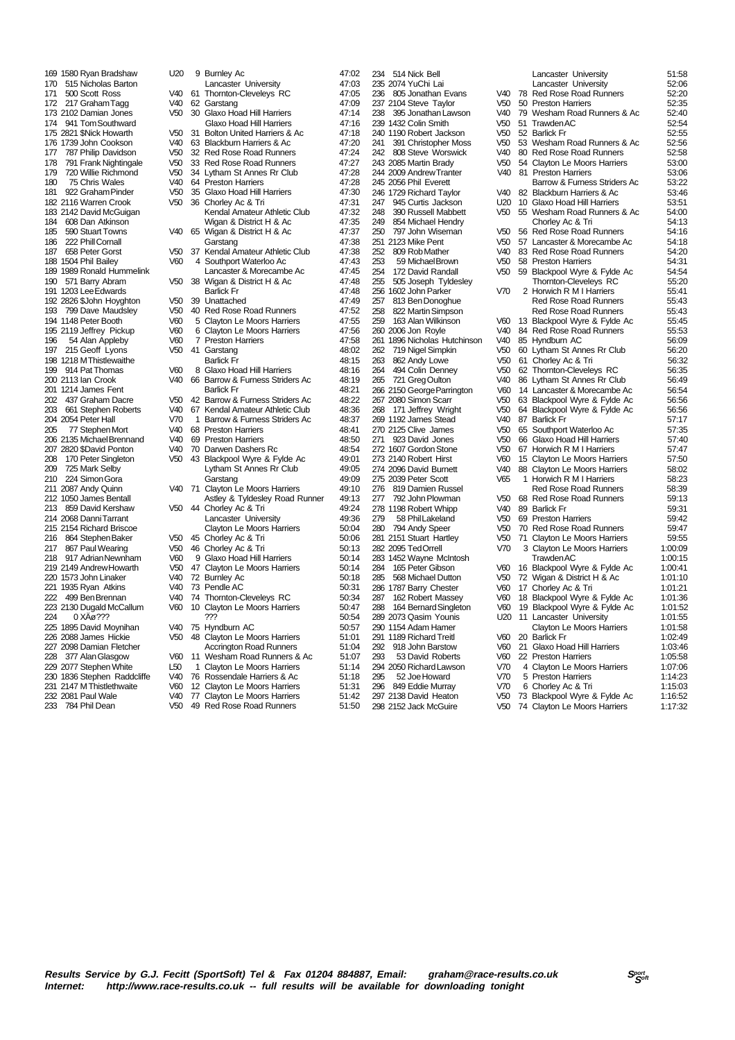206 2135 Michael Brennand 221 1935 Ryan Atkins 232 2081 Paul Wale V40 77 Clayton Le Moors Harriers 51:42<br>233 784 Phil Dean V50 49 Red Rose Road Runners 51:50

169 1580 Ryan Bradshaw U20 9 Burnley Ac 47:02<br>170 515 Nicholas Barton Lancaster University 47:03 170 515 Nicholas Barton **1988 Lancaster University 170 515 Nicholas Barton**<br>171 500 Scott Ross 1990 490 61 Thomton-Clevelevs RC 1705 171 500 Scott Ross V40 61 Thornton-Cleveleys RC 47:05<br>172 217 Graham Tagg V40 62 Garstang 17:09 172 217 Graham Tagg V40 62 Garstang 173 2102 Damian Jones V50 30 Glaxo Hoad Hill Harriers 47:14 Glaxo Hoad Hill Harriers<br>Glaxo Hoad Hill Harriers 174 941 Tom Southward Glaxo Hoad Hill Harriers 47:16<br>175 2821 SNick Howarth V50 31 Bolton United Harriers & Ac 47:18 175 2821 \$Nick Howarth V50 31 Bolton United Harriers & Ac 47:18<br>175 2821 \$Nick Howarth V50 31 Bolton United Harriers & Ac 47:18<br>176 1739 John Cookson V40 63 Blackburn Harriers & Ac 47:20 176 1739 John Cookson V40 63 Blackburn Harriers & Ac 47:20 177 787 Philip Davidson V50 32 Red Rose Road Runners 47:24 191 Frank Nightingale V50 33 Red Rose Road Runners 47:27<br>1790 Willie Richmond V50 34 Lytham St Annes Rr Club 47:28 179 720 Willie Richmond V50 34 Lytham St Annes Rr Club 47:28<br>180 75 Chris Wales V40 64 Preston Harriers 47:28 190 75 Chris Wales V40 64 Preston Harriers V5 Chris Wales<br>1922 Graham Pinder V50 35 Glaxo Hoad Hill Hill 181 922 Graham Pinder V50 35 Glaxo Hoad Hill Harriers 47:30 182 2116 Warren Crook V50 36 Chorley Ac & Tri 47:31 183 2142 David McGuigan Kendal Amateur Athletic Club 47:32 184 608 Dan Atkinson Wigan & District H & Ac 47:35 185 590 Stuart Towns V40 65 Wigan & District H & Ac 47:37<br>186 222 Phill Comell Garstang Carston 186 222 Phill Cornall Garstang Garstang 47:38<br>187 658 Peter Gorst 17:38 V50 37 Kendal Amateur Athletic Club 47:38 187 658 Peter Gorst V50 37 Kendal Amateur Athletic Club<br>188 1504 Phil Bailey V60 4 Southport Waterloo Ac 148 1504 V60 4 Southport Waterloo Ac 47:43<br>147:45 Lancaster & Morecambe Ac 47:45 189 1989 Ronald Hummelink Lancaster & Morecambe Ac 47:45<br>190 571 Barry Abram V50 38 Wigan & District H & Ac 47:48 190 571 Barry Abram V50 38 Wigan & District H & Ac 47:48 191 1203 Lee Edwards Barlick Fr 47:48 192 2826 \$John Hoyghton V50 39 Unattached 47:49<br>193 799 Dave Maudsley V50 40 Red Rose Road Runners 47:52 40 Red Rose Road Runners 194 1148 Peter Booth V60 5 Clayton Le Moors Harriers 47:55<br>195 2119 Jeffrey Pickup V60 6 Clayton Le Moors Harriers 47:56 195 2119 Jeffrey Pickup V60 6 Clayton Le Moors Harriers 47:56<br>195 2119 Jeffrey Pickup V60 6 Clayton Le Moors Harriers 47:56<br>196 54 Alan Appleby V60 7 Preston Harriers 47:58 196 54 Alan Appleby V60 7 Preston Harriers 47:58<br>197 215 Geoff Lyons V50 41 Garstang 48:02 197 215 Geoff Lyons V50 41 Garstang 48:02 198 1218 M Thistlewaithe **198 1218 M Thistlewaithe COVID-Barlick Fr** 48:15<br>199 914 Pat Thomas V60 8 Glaxo Hoad Hill Harriers 48:16 8 Glaxo Hoad Hill Harriers 200 2113 Ian Crook V40 66 Barrow & Furness Striders Ac 48:19 201 1214 James Fent **18:21**<br>202 437 Graham Dacre **18:22** A2 Barrow & Furness Striders Ac 48:22 202 437 Graham Dacre V50 42 Barrow & Furness Striders Ac 48:22 203 661 Stephen Roberts V40 67 Kendal Amateur Athletic Club 48:36 204 2054 Peter Hall V70 1 Barrow & Furness Striders Ac 48:37<br>205 77 Stephen Mort V40 68 Preston Harriers 48:41 205 77 V40 68 Preston Harriers 48:41<br>1206 79 Preston Harriers 48:50 207 2820 \$David Ponton V40 70 Darwen Dashers Rc 48:54 208 170 Peter Singleton V50 43 Blackpool Wyre & Fylde Ac 49:00 49:001 Lytham St Annes Rr Club 209 725 Mark Selby Lytham St Annes Rr Club 49:05<br>210 224 Simon Gora Garstang 49:05 210 224 Simon Gora Garstang Garstang Carstang 49:09<br>211 2087 Andy Quinn V40 71 Clayton Le Moors Harriers 49:10 211 2087 Andy Quinn V40 71 Clayton Le Moors Harriers 49:10 212 1050 James Bentall Astley & Tyldesley Road Runner 49:13 213 859 David Kershaw V50 44 Chorley Ac & Tri 49:24 214 2068 Danni Tarrant Lancaster University 49:36 215 2154 Richard Briscoe Clayton Le Moors Harriers<br>216 864 Stephen Baker 50:045 Chorley Ac & Tri 216 864 Stephen Baker V50 45 Chorley Ac & Tri 50:06 217 867 Paul Wearing V50 46 Chorley Ac & Tri 50:13<br>218 917 Adrian Newnham V60 9 Glaxo Hoad Hill Harriers 50:14 218 917 Adrian Newnham V60 9 Glaxo Hoad Hill Harriers<br>219 2149 Andrew Howarth V50 47 Clayton Le Moors Harrie V50 47 Clayton Le Moors Harriers 50:14<br>12 2 Burnley Ac 50:18 220 1573 John Linaker V40 72 Burnley Ac 50:18 222 499 Ben Brennan V40 74 Thornton-Cleveleys RC 50:34 223 2130 Dugald McCallum V60 10 Clayton Le Moors Harriers 50:47<br>224 0 XAø ??? 323 7?? 7?? 224 0 XÄø 222<br>225 David Moynihan 1 1 V40 75 Hyndburn AC 30:57 1 50:57 225 1895 David Moynihan V40 75 Hyndburn AC 50:57<br>226 2088 James Hickie V50 48 Clayton Le Moors Harriers 51:01 226 2088 James Hickie V50 48 Clayton Le Moors Harriers 51:01<br>227 2098 Damian Fletcher Accrinaton Road Runners 51:04 Accrington Road Runners 228 377 Alan Glasgow V60 11 Wesham Road Runners & Ac 51:07 229 2077 Stephen White L50 1 Clayton Le Moors Harriers 51:14 230 1836 Stephen Raddcliffe V40 76 Rossendale Harriers & Ac 51:18<br>231 2147 M Thistlethwaite V60 12 Clayton Le Moors Harriers 51:31 231 2147 M Thistlethwaite V60 12 Clayton Le Moors Harriers 51:31

49 Red Rose Road Runners

286 1787 Barry Chester 297 2138 David Heaton V50 73 Blackpool Wyre & Fylde Ac 1:16:52

234 514 Nick Bell Lancaster University 51:58<br>235 2074 YuChi Lai Lancaster University 52:06 2:06 Lancaster University<br>22:06 V40 78 Red Rose Road Runners 52:20 236 805 Jonathan Evans V40 78 Red Rose Road Runners 52:20 237 2104 Steve Taylor V50 50 Preston Harriers 52:35 79 Wesham Road Runners & Ac 239 1432 Colin Smith V50 51 Trawden AC 52:54 240 1190 Robert Jackson 1980 122 Barlick Fr 52:55<br>241 391 Christopher Moss 1980 53 Wesham Road Runners & Ac 52:55 241 391 Christopher Moss V50 53 Wesham Road Runners & Ac 52:56 242 808 Steve Worswick V40 80 Red Rose Road Runners 52:58 54 Clayton Le Moors Harriers 53:00<br>81 Preston Harriers 53:06 244 2009 Andrew Tranter V40 81 Preston Harriers 53:06<br>245 2056 Phil Everett Barrow & Furness Striders Ac 53:22 245 2056 Phil Everett Barrow & Furness Striders Ac 53:246 1729 Richard Taylor V40 82: Riackhurn Harriers & Ac 246 1729 Richard Taylor V40 82 Blackburn Harriers & Ac 53:46 247 945 Curtis Jackson U20 10 Glaxo Hoad Hill Harriers 53:51 248 390 Russell Mabbett V50 55 Wesham Road Runners & Ac 54:00 249 854 Michael Hendry Chorley Ac & Tri 54:1354 Michael Hendry Chorley Ac & Tri 250 797 John Wiseman V50 56 Red Rose Road Runners 54:16 251 2123 Mike Pent V50 57 Lancaster & Morecambe Ac 54:18 83 Red Rose Road Runners<br>58 Preston Harriers 253 59 Michael Brown V50 58 Preston Harriers 354:31 54:31<br>254 172 David Randall V50 59 Blackpool Wyre & Fylde Ac 54:54 254 172 David Randall V50 59 Blackpool Wyre & Fylde Ac 54:54 255 505 Joseph Tyldesley Thomton-Cleveleys RC 55:20 255 505 Joseph Tyldesley Thornton-Cleveleys RC 55:20<br>255 505 Joseph Tyldesley Thornton-Cleveleys RC 55:20<br>256 1602 John Parker V70 2 Horwich R M I Harriers 55:41 256 1602 John Parker V70 2 Horwich R M I Harriers 55:41<br>257 813 Ben Donoghue Red Rose Road Runners 55:41 257 813 Ben Donoghue Red Rose Road Runners 55:43 258 822 Martin Simpson Red Rose Road Runners 55:43 13 Blackpool Wyre & Fylde Ac 260 2006 Jon Royle V40 84 Red Rose Road Runners 55:53 261 1896 Nicholas Hutchinson V40 85 Hyndburn AC 56:09 262 719 Nigel Simpkin V50 60 Lytham St Annes Rr Club 56:20 263 862 Andy Lowe V50 61 Chorley Ac & Tri 56:32 264 494 Colin Denney V50 62 Thornton-Cleveleys RC 56:35 Lytham St Annes Rr Club 266 2150 George Parrington V60 14 Lancaster & Morecambe Ac 56:54 267 2080 Simon Scarr V50 63 Blackpool Wyre & Fylde Ac 56:56 268 171 Jeffrey Wright V50 64 Blackpool Wyre & Fylde Ac 56:56<br>269 1192 James Stead V40 87 Barlick Fr 57:17 269 1192 James Stead V40 87 Barlick Fr 57:17<br>270 2125 Clive James V50 65 Southport Waterloo Ac 57:35 270 2125 Clive James V50 65 Southport Waterloo Ac 57:35<br>271 923 David Jones V50 66 Glaxo Hoad Hill Harriers 57:40 66 Glaxo Hoad Hill Harriers 272 1607 Gordon Stone V50 67 Horwich R M I Harriers 57:47<br>273 2140 Robert Hirst V60 15 Clayton Le Moors Harriers 57:50 273 2140 Robert Hirst V60 15 Clayton Le Moors Harriers 57:50<br>274 2096 David Burnett V40 88 Clayton Le Moors Harriers 58:02 274 2096 David Burnett V40 88 Clayton Le Moors Harriers 58:02<br>275 2039 Peter Scott V65 1 Horwich R M I Harriers 58:02 275 2039 Peter Scott V65 1 Horwich R M I Harriers 58:23<br>276 819 Damien Russel Red Rose Road Runners 58:39 276 819 Damien Russel Red Rose Road Runners 58:39<br>277 792 John Plowman V50 68 Red Rose Road Runners 59:13 277 1920 V50 68 Red Rose Road Runners 59:13<br>277 1920 99 Barlick Fr 278 1198 Robert Whipp V40 89 Barlick Fr 59:31 279 58 Phil Lakeland V50 69 Preston Harriers 39:42<br>280 794 Andy Speer V50 70 Red Rose Road Runners 59:47 280 794 Andy Speer V50 70 Red Rose Road Runners 59:47<br>281 2151 Stuart Hartley V50 71 Clayton Le Moors Harriers 59:55 281 2151 Stuart Hartley V50 71 Clayton Le Moors Harriers 59:55 282 2012 2012 2012 2012 2013<br>Clayton Le Moors Harriers 1:00:09<br>Trawden AC 1:00:15 283 1452 Wayne McIntosh **Trawden AC 1:00:15**<br>284 165 Peter Gibson 1:00:15 V60 16 Blackpool Wyre & Fylde Ac 1:00:41 284 165 Peter Gibson V60 16 Blackpool Wyre & Fylde Ac 1:00:41 V50 72 Wigan & District H & Ac 1:01:10<br>V60 17 Chorley Ac & Tri 1:01:21 287 162 Robert Massey V60 18 Blackpool Wyre & Fylde Ac 1:01:36 288 164 Bernard Singleton V60 19 Blackpool Wyre & Fylde Ac 1:01:52 289 2073 Qasim Younis U20 11 Lancaster University 1:01:55<br>289 2073 Qasim Younis U20 11 Lancaster University 1:01:55 291:01:58 Clayton Le Moors Harriers 1:01:58<br>290 1:02:49 1:02:49 291 1189 Richard Treitl V60 20 Barlick Fr 1:02:49 21 Glaxo Hoad Hill Harriers 293 53 David Roberts V60 22 Preston Harriers 1:05:58<br>294 2050 Richard Lawson V70 4 Clavton Le Moors Harriers 1:07:06 294 2050 Richard Lawson V70 4 Clayton Le Moors Harriers 1:07:06<br>295 52 Joe Howard V70 5 Preston Harriers 1:14:23 295 52 Joe Howard V70 5 Preston Harriers 1:14:23 296 849 Eddie Murray V70 6 Chorley Ac & Tri 1:15:03

74 Clayton Le Moors Harriers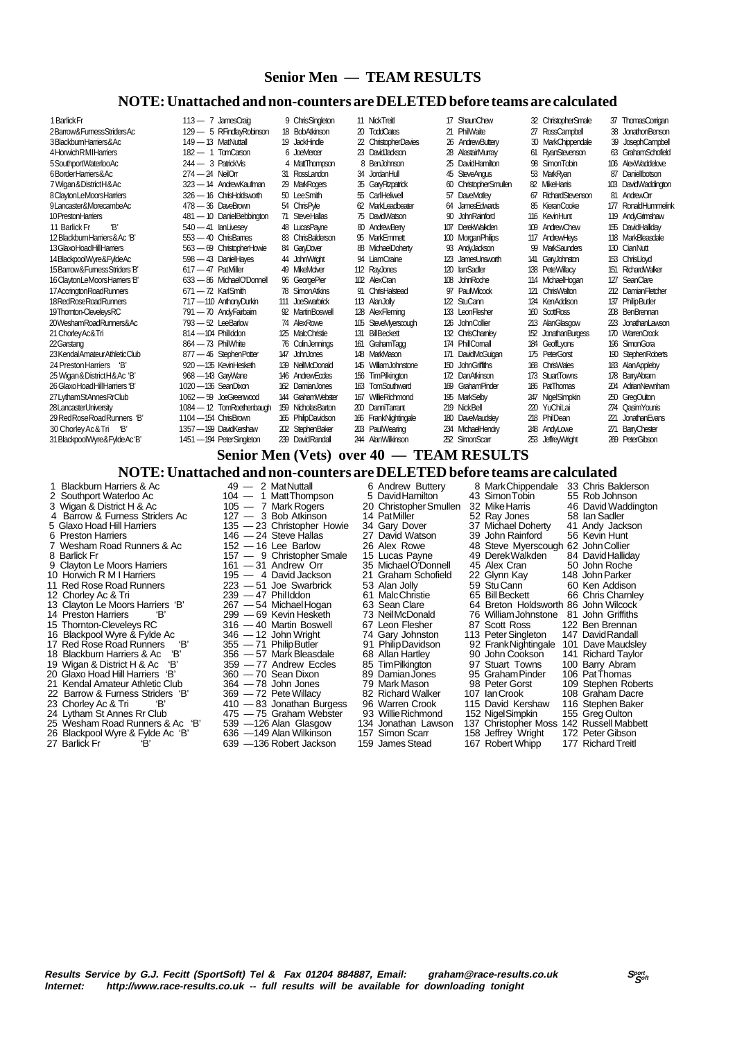### **Senior Men — TEAM RESULTS**

### **NOTE: Unattached and non-counters are DELETED before teams are calculated**

| 1 Barlick Fr                    |                        | $113 - 7$ JamesCraig       | 9 ChrisSingleton   |     | 11 NickTreit                             |     | 17 ShaunChew              |     | 32 ChristopherSmale    | 37  | <b>ThomasCorrigan</b> |
|---------------------------------|------------------------|----------------------------|--------------------|-----|------------------------------------------|-----|---------------------------|-----|------------------------|-----|-----------------------|
| 2Barrow&FumessStridersAc        |                        | 129 - 5 RFindlayRobinson   | 18 BobAtkinson     |     | 20 ToddOates                             | 21  | PhilWaite                 |     | 27 RossCampbell        | 38  | JonathonBenson        |
| 3BlackbumHarriers&Ac            | 149 - 13 MatNuttall    |                            | 19 JackHindle      |     | 22 ChristopherDavies                     |     | 26 AndrewButterv          |     | 30 MarkChippendale     |     | <b>JosephCampbell</b> |
| 4 Horwich RMI Harriers          | $182 - 1$ TomCarson    |                            | 6 JoeMercer        |     | 23 David Jackson                         | 28  | AlastairMurrav            |     | 61 RyanStevenson       |     | 63 GrahamSchofield    |
| 5 Southport Waterloo Ac         | $244 - 3$ PatrickVis   |                            | 4 MattThompson     | 8   | BenJohnson                               | 25  | DavidHamilton             |     | 98 SimonTobin          | 106 | AlexWaddelove         |
| 6BorderHarriers&Ac              | $274 - 24$ NeilOrr     |                            | 31 RossLandon      |     | 34 JordanHull                            | 45  | <b>SteveAngus</b>         |     | 53 MarkRvan            | 87  | Danielbotson          |
| 7 Wigan & District H & Ac       |                        | 323 - 14 AndrewKaufman     | 29 MarkRogers      |     | 35 GaryFitzpatrick                       | ഩ   | <b>ChristopherSmullen</b> |     | 82 MikeHarris          | 10B | DavidWaddington       |
| 8 Clavton LeMoors Harriers      |                        | 326 - 16 ChrisHoldsworth   | 50 LeeSmith        |     | 55 CarlHeliwell                          | 57  | <b>DaveMotlev</b>         | 67  | RichardStevenson       | 81  | AndrewOrr             |
| 9Lancaster&MorecambeAc          | 478 - 36 DaveBrown     |                            | 54 ChrisPyle       |     | 62 MarkLeadbeater                        | 64  | <b>JamesEdwards</b>       |     | 85 KieranCooke         | 177 | RonaldHummelink       |
| 10 Preston Hamers               |                        | 481 - 10 DanielBebbington  | 71 SteveHallas     |     | 75 DavidWatson                           |     | 90 John Rainford          |     | 116 KevinHunt          |     | 119 AndyGrimshaw      |
| Έ,<br>11 Barlick Fr             | $540 - 41$ lan Livesev |                            | 48 LucasPayne      |     | 80 AndrewBerry                           | 107 | <b>DerekWalkden</b>       | 109 | AndrewChew             | 155 | <b>DavidHallidav</b>  |
| 12 Blackbum Harriers & Ac 'B'   |                        | $553 - 40$ ChrisBarnes     | 83 ChrisBalderson  |     | 95 MarkEmmett                            |     | 100 Morgan Philips        |     | 117 AndrewHeys         | 118 | <b>MarkBleasdale</b>  |
| 13 Glaxo Hoad Hill Harriers     |                        | 563 - 69 ChristopherHowie  | 84 GaryDover       |     | 88 MichaelDoherty                        |     | 93 AndyJackson            |     | 99 MarkSaunders        | 130 | CianNutt              |
| 14 Blackpool Wyre& Fylde Ac     |                        | 598 - 43 DanielHayes       | 44 JohnWright      |     | 94 LiamCraine                            |     | 123 JamesUnsworth         | 141 | GaryJohnston           |     | 153 ChrisLlovd        |
| 15 Barrow & Fumess Striders 'B' | $617-47$ PatMiller     |                            | 49 MikeMolver      |     | 112 RayJones                             | 120 | lanSadler                 |     | 138 PeteWillacv        | 151 | <b>RichardWaker</b>   |
| 16 Clayton LeMoors Harriers 'B' |                        | 633 - 86 Michael O'Donnell | 96 GeorgePier      |     | 102 AlexCran                             |     | 108 JohnRoche             |     | 114 MichaelHogan       | 127 | <b>SeanClare</b>      |
| 17 Accrington Road Runners      | $671 - 72$ KarlSmith   |                            | 78 Simon Atkins    |     | 91 ChrisHalstead                         |     | 97 PaulWilcock            | 121 | ChrisWalton            |     | 212 DamianFletcher    |
| 18RedRoseRoadRunners            |                        | 717-110 AnthonyDurkin      | 111 JoeSwarbrick   |     | 113 AlanJolly                            |     | 122 StuCann               |     | 124 KenAddison         | 137 | <b>PhilipButler</b>   |
| 19Thomton-ClevelevsRC           |                        | 791 - 70 Andy Fairbaim     | 92 MartinBoswell   |     | 128 AlexFlemina                          |     | 133 LeonFlesher           |     | 160 ScottRoss          |     | 208 BenBrennan        |
| 20WeshamRoadRunners&Ac          | $793 - 52$ LeeBarlow   |                            | 74 AlexRowe        | 105 | SteveMverscouch                          |     | 126 John Collier          |     | 213 AlanGlascrow       | 223 | JonathanLawson        |
| 21 Chorley Ac& Tri              | $814 - 104$ Phillddon  |                            | 125 MalcChristie   |     | 131 BillBeckett                          |     | 132 ChrisChamley          | 152 | <b>JonathanBurgess</b> |     | 170 WarrenCrook       |
| 22 Garstang                     | $864 - 73$ PhilWhite   |                            | 76 ColinJenninas   |     | 161 GrahamTagg                           |     | 174 PhillComall           |     | 184 GeoffLvons         |     | 196 SimonGora         |
| 23 Kendal Amateur Athletic Club |                        | 877 - 46 StephenPotter     | 147 John Jones     |     | 148 MarkMason                            | 171 | DavidMcGuician            |     | 175 PeterGorst         | 190 | <b>StephenRoberts</b> |
| 24 Preston Harriers 'B'         |                        | 920 - 135 KevinHesketh     | 139 NeilMcDonald   |     | 145 WilliamJohnstone                     |     | 150 John Griffiths        |     | 168 ChrisWales         |     | 183 Alan Appleby      |
| 25 Wigan & District H & Ac 'B'  | 968 - 143 GarWane      |                            | 146 AndrewEccles   |     | 156 TimPilkinaton                        |     | 172 Dan Atkinson          |     | 173 StuartTowns        | 178 | <b>BarryAbram</b>     |
| 26 Glaxo Hoad Hill Harriers 'B' | 1020 - 136 SeanDixon   |                            | 162 DamianJones    | 163 | TomSouthward                             |     | 169 GrahamPinder          |     | 186 PatThomas          |     | 204 AdrianNewnham     |
| 27 Lytham StAnnes RrClub        |                        | 1062 - 59 JoeGreenwood     | 144 GrahamWebster  | 167 | WillieRichmond                           | 195 | <b>MarkSelby</b>          |     | 247 NigelSimpkin       | 250 | <b>GregOutton</b>     |
| 28LancasterUniversity           |                        | 1084 - 12 TomRoethenbaugh  | 159 NicholasBarton |     | 200 DanniTarrant                         |     | 219 NickBell              |     | 220 YuChiLai           |     | 274 CasimYounis       |
| 29 Red Rose Road Runners 'B'    | 1104 - 154 ChrisBrown  |                            | 165 PhilipDavidson |     | 166 FrankNightingale                     | 180 | <b>DaveMaudslev</b>       |     | 218 PhilDean           | 221 | JonathanEvans         |
| 30 Chorley Ac& Tri 'B'          |                        | 1357 - 199 DavidKershaw    | 202 StephenBaker   |     | 203 PaulWearing                          |     | 234 MichaelHendry         |     | 248 AndyLowe           | 271 | <b>BanyChester</b>    |
| 31 BlackpoolWyre&FyldeAc'B'     |                        | 1451 - 194 PeterSingleton  | 239 DavidRandall   |     | 244 AlanWilkinson                        |     | 252 SimonScarr            |     | 253 JeffreyWright      |     | 269 PeterGibson       |
|                                 |                        |                            |                    |     | Senior Men (Vets) over 40 - TEAM RESULTS |     |                           |     |                        |     |                       |
|                                 |                        |                            |                    |     |                                          |     |                           |     |                        |     |                       |

**NOTE: Unattached and non-counters are DELETED before teams are calculated**<br>riers & Ac 49 - 2 MatNuttall 6 Andrew Buttery 8 MarkChippendale 33 Chris Balderson

1 Blackburn Harriers & Ac  $104 - 2$  Mat Nuttall 6 Andrew Buttery 8 Mark Chippendale 33 Chris Balders 2 Southport Waterloo Ac  $104 - 1$  Matt Thompson  $3$  Wigan & District H & Ac  $105 - 7$  Mark Rogers  $20$  Christopher Smullen 3 2 Southport Waterloo Ac 104 - 1 Matt Thompson 5 David Hamilton 43 Simon Tobin 55 Rob Johnson 3 Wigan & District H & Ac 105 - 7 Mark Rogers 20 Christopher Smullen 32 Mike Harris 46 David Waddington 3 Wigan & District H & Ac 105 - 7 Mark Rogers 20 Christopher Smullen 32 Mike Harris 46 David Waddington 20 Christopher Smullen 32 Mike Harris 46 David Waddington 4 Barrow & Furness Striders Ac 127 - 3 Bob Atkinson 14 Pat M 4 Barrow & Furness Striders Ac  $127 - 3$  Bob Atkinson 14 Pat Miller 52 Ray Jones 58 Ian Sadler<br>5 Glaxo Hoad Hill Harriers 135 - 23 Christopher Howie 34 Gary Dover 37 Michael Doherty 41 Andy Jackson<br>6 Preston Harriers 146 - 5 Glaxo Hoad Hill Harriers 135 — 23 Christopher Howie 34 Gary Dover 37 Michael Doherty 41 Andy Jackson 6 Preston Harriers 146 — 24 Steve Hallas 27 David Watson 39 John Rainford 56 Kevin Hunt 8 Barlick Fr **157 — 9 Christopher Smale** 15 Lucas Payne 49 Derek Walkden 84 David Halliday 9 Clayton Le Moors Harriers 161 — 31 Andrew Orr 35 Michael O'Donnell 45 Alex Cran 50 John Roche 10 Horwich R M I Harriers 195 — 4 David Jackson 21 Graham Schofield 22 Glynn Kay 148 John Parker<br>11 Red Rose Road Runners 223 — 51 Joe Swarbrick 53 Alan Jolly 59 Stu Cann 60 Ken Addison<br>12 Chorley Ac & Tri 239 — 47 Philldd 11 Red Rose Road Runners 223 — 51 Joe Swarbrick 53 Alan Jolly 59 Stu Cann 60 Ken Addison 12 Chorley Ac & Tri 239 — 47 Phil Iddon 61 Malc Christie 65 Bill Beckett 66 Chris Charnley 13 Clayton Le Moors Harriers 'B' 267 — 54 Michael Hogan 63 Sean Clare 64 Breton Holdsworth 86 John Wilcock 15 Thornton-Cleveleys RC 316 — 40 Martin Boswell 67 Leon Flesher 87 Scott Ross 122 Ben Brennan<br>16 Blackpool Wyre & Fylde Ac 346 — 12 John Wright 74 Gary Johnston 113 Peter Singleton 147 David Randall 16 Blackpool Wyre & Fylde Ac 346 — 12 John Wright 74 Gary Johnston 113 Peter Singleton 147 David Randall<br>17 Red Rose Road Runners 'B' 355 — 71 Philip Butler 91 Philip Davidson 92 Frank Nightingale 101 Dave Maudsley 17 Red Rose Road Runners 'B' 355 - 71 Philip Butler 91 Philip Davidson 92 Frank Nightingale 101 Dave Maudsle<br>18 Blackburn Harriers & Ac 'B' 356 - 57 Mark Bleasdale 68 Allan Hartley 90 John Cookson 141 Richard Taylor 19 Wigan & District H & Ac 'B' 359 — 77 Andrew Eccles 85 Tim Pilkington 97 Stuart Towns 100 Barry Abram 20 Glaxo Hoad Hill Harriers 'B' 360 — 70 Sean Dixon 89 Damian Jones 95 Graham Pinder 106 Pat Thomas 21 Kendal Amateur 20 Glaxo Hoad Hill Harriers 'B' 360 — 70 Sean Dixon 89 Damian Jones 95 Graham Pinder 106 Pat Thomas 21 Kendal Amateur Athletic Club 364 — 78 John Jones 79 Mark Mason 98 Peter Gorst 109 Stephen Roberts 22 Barrow & Furness Striders 'B' 369 — 72 Pete Willacy 82 Richard Walker 107 Ian Crook 108 Graham Dacre 23 Chorley Ac & Tri 162 Chorley Ac & Tri 162 Chorley Ac & Tri 162 410 — 83 Jonathan Burgess 96 Warren Crook<br>24 Lytham St Annes Rr Club 475 — 75 Graham Webster 93 Willie Richmond<br>25 Wesham Road Runners & Ac 'B' 539 — 126 Al

- 26 Blackpool Wyre & Fylde Ac 'B' 636 —149 Alan Wilkinson 157 Simon Scarr 158 Jeffrey Wright 172 Peter Gibson
- 
- Vesham Road Runners & Ac 152 16 Lee Barlow 26 Alex Rowe 48 Steve Myerscough 62 John Collier<br>
26 Alex Rowe 48 Steve Myerscough 62 John Collier<br>
26 Alex Rowe 49 Derek Walkden 84 David Halliday<br>
Clayton Le Moors Harriers 16 14 Preston Harriers 'B' 299 — 69 Kevin Hesketh 73 Neil McDonald 76 William Johnstone 81 John Griffiths 18 Blackburn Harriers & Harriers & Harriers 356 — 57 Mark Bleasdale 68 Allan Hartley 90 John Cookson 141 Richard Taylor<br>18 359 — 77 Andrew Eccles 85 Tim Pilkington 97 Stuart Towns 100 Barry Abram 23 Chorley Active Activities States Activities (115 David Kershaw 116 Stephen Baker)<br>115 Activities Activities 475 — 75 Graham Webster 93 Willie Richmond 152 NigelSimpkin 155 Greg Oulton 225 126 Alan Glasgow 134 Jonathan Lawson 137 Christopher Moss 142 Russell Mabbett 636 —149 Alan Wilkinson 157 Simon Scarr 158 Jeffrey Wright 172 Peter Gibson 639 —136 Robert Jackson 159 James Stead 167 Robert Whipp 177 Ric 27 Barlick Fr 'B' 639 —136 Robert Jackson 159 James Stead 167 Robert Whipp 177 Richard Treitl

- 
-